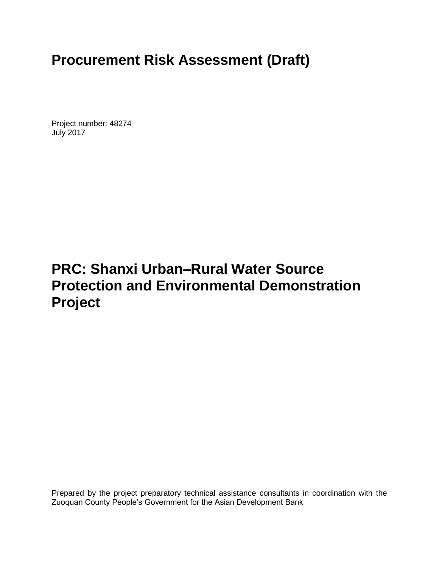# **Procurement Risk Assessment (Draft)**

Project number: 48274 July 2017

## **PRC: Shanxi Urban–Rural Water Source Protection and Environmental Demonstration Project**

Prepared by the project preparatory technical assistance consultants in coordination with the Zuoquan County People's Government for the Asian Development Bank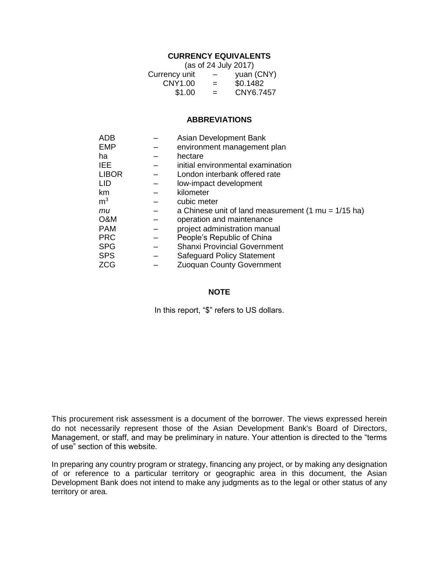#### **CURRENCY EQUIVALENTS**

| (as of 24 July 2017) |                          |            |  |  |
|----------------------|--------------------------|------------|--|--|
| Currency unit        | $\overline{\phantom{0}}$ | yuan (CNY) |  |  |
| CNY1.00              | $=$                      | \$0.1482   |  |  |
| \$1.00               | $=$                      | CNY6.7457  |  |  |

#### **ABBREVIATIONS**

| ADB            | Asian Development Bank                                                |
|----------------|-----------------------------------------------------------------------|
| EMP            | environment management plan                                           |
| ha             | hectare                                                               |
| <b>IEE</b>     | initial environmental examination                                     |
| <b>LIBOR</b>   | London interbank offered rate                                         |
| <b>LID</b>     | low-impact development                                                |
| km             | kilometer                                                             |
| m <sup>3</sup> | cubic meter                                                           |
| mи             | a Chinese unit of land measurement $(1 \text{ mu} = 1/15 \text{ ha})$ |
| O&M            | operation and maintenance                                             |
| <b>PAM</b>     | project administration manual                                         |
| <b>PRC</b>     | People's Republic of China                                            |
| <b>SPG</b>     | <b>Shanxi Provincial Government</b>                                   |
| <b>SPS</b>     | <b>Safeguard Policy Statement</b>                                     |
| <b>ZCG</b>     | <b>Zuoquan County Government</b>                                      |

#### **NOTE**

In this report, "\$" refers to US dollars.

This procurement risk assessment is a document of the borrower. The views expressed herein do not necessarily represent those of the Asian Development Bank's Board of Directors, Management, or staff, and may be preliminary in nature. Your attention is directed to the "terms of use" section of this website.

In preparing any country program or strategy, financing any project, or by making any designation of or reference to a particular territory or geographic area in this document, the Asian Development Bank does not intend to make any judgments as to the legal or other status of any territory or area.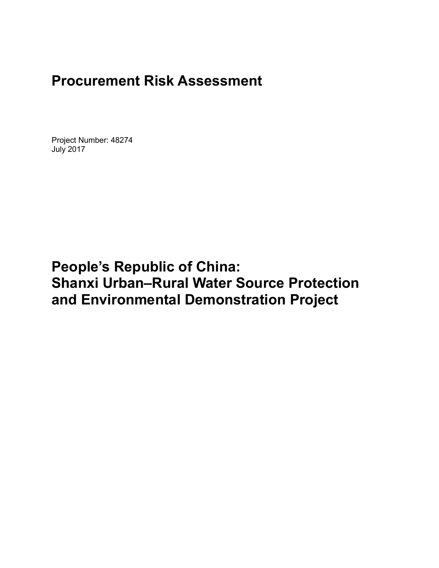## **Procurement Risk Assessment**

Project Number: 48274 July 2017

## **People's Republic of China: Shanxi Urban–Rural Water Source Protection and Environmental Demonstration Project**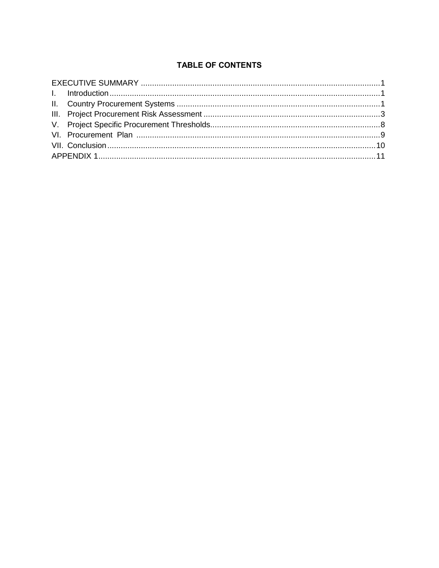## **TABLE OF CONTENTS**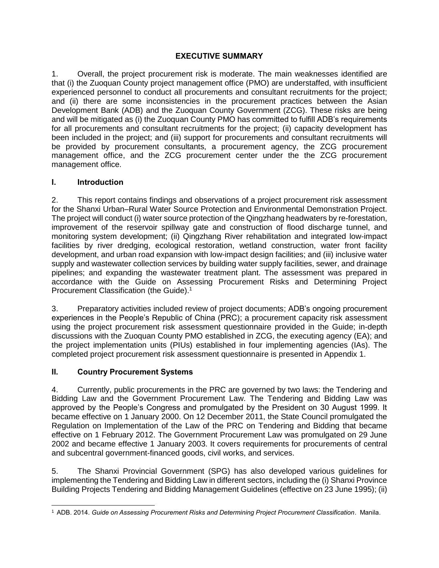## **EXECUTIVE SUMMARY**

<span id="page-6-0"></span>1. Overall, the project procurement risk is moderate. The main weaknesses identified are that (i) the Zuoquan County project management office (PMO) are understaffed, with insufficient experienced personnel to conduct all procurements and consultant recruitments for the project; and (ii) there are some inconsistencies in the procurement practices between the Asian Development Bank (ADB) and the Zuoquan County Government (ZCG). These risks are being and will be mitigated as (i) the Zuoquan County PMO has committed to fulfill ADB's requirements for all procurements and consultant recruitments for the project; (ii) capacity development has been included in the project; and (iii) support for procurements and consultant recruitments will be provided by procurement consultants, a procurement agency, the ZCG procurement management office, and the ZCG procurement center under the the ZCG procurement management office.

### <span id="page-6-1"></span>**I. Introduction**

2. This report contains findings and observations of a project procurement risk assessment for the Shanxi Urban–Rural Water Source Protection and Environmental Demonstration Project. The project will conduct (i) water source protection of the Qingzhang headwaters by re-forestation, improvement of the reservoir spillway gate and construction of flood discharge tunnel, and monitoring system development; (ii) Qingzhang River rehabilitation and integrated low-impact facilities by river dredging, ecological restoration, wetland construction, water front facility development, and urban road expansion with low-impact design facilities; and (iii) inclusive water supply and wastewater collection services by building water supply facilities, sewer, and drainage pipelines; and expanding the wastewater treatment plant. The assessment was prepared in accordance with the Guide on Assessing Procurement Risks and Determining Project Procurement Classification (the Guide). 1

3. Preparatory activities included review of project documents; ADB's ongoing procurement experiences in the People's Republic of China (PRC); a procurement capacity risk assessment using the project procurement risk assessment questionnaire provided in the Guide; in-depth discussions with the Zuoquan County PMO established in ZCG, the executing agency (EA); and the project implementation units (PIUs) established in four implementing agencies (IAs). The completed project procurement risk assessment questionnaire is presented in Appendix 1.

## <span id="page-6-2"></span>**II. Country Procurement Systems**

4. Currently, public procurements in the PRC are governed by two laws: the Tendering and Bidding Law and the Government Procurement Law. The Tendering and Bidding Law was approved by the People's Congress and promulgated by the President on 30 August 1999. It became effective on 1 January 2000. On 12 December 2011, the State Council promulgated the Regulation on Implementation of the Law of the PRC on Tendering and Bidding that became effective on 1 February 2012. The Government Procurement Law was promulgated on 29 June 2002 and became effective 1 January 2003. It covers requirements for procurements of central and subcentral government-financed goods, civil works, and services.

5. The Shanxi Provincial Government (SPG) has also developed various guidelines for implementing the Tendering and Bidding Law in different sectors, including the (i) Shanxi Province Building Projects Tendering and Bidding Management Guidelines (effective on 23 June 1995); (ii)

 <sup>1</sup> ADB. 2014. *Guide on Assessing Procurement Risks and Determining Project Procurement Classification*. Manila.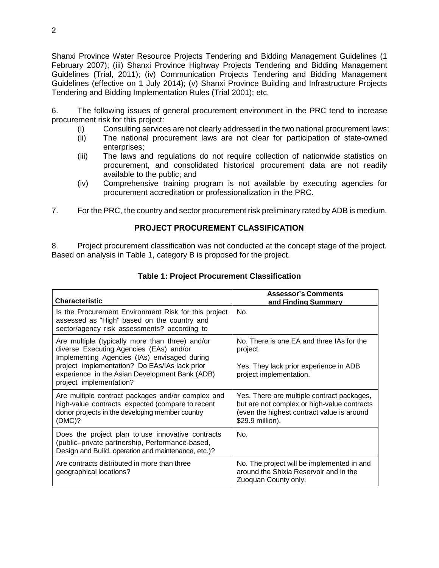Shanxi Province Water Resource Projects Tendering and Bidding Management Guidelines (1 February 2007); (iii) Shanxi Province Highway Projects Tendering and Bidding Management Guidelines (Trial, 2011); (iv) Communication Projects Tendering and Bidding Management Guidelines (effective on 1 July 2014); (v) Shanxi Province Building and Infrastructure Projects Tendering and Bidding Implementation Rules (Trial 2001); etc.

6. The following issues of general procurement environment in the PRC tend to increase procurement risk for this project:

- (i) Consulting services are not clearly addressed in the two national procurement laws;
- (ii) The national procurement laws are not clear for participation of state-owned enterprises;
- (iii) The laws and regulations do not require collection of nationwide statistics on procurement, and consolidated historical procurement data are not readily available to the public; and
- (iv) Comprehensive training program is not available by executing agencies for procurement accreditation or professionalization in the PRC.
- 7. For the PRC, the country and sector procurement risk preliminary rated by ADB is medium.

#### **PROJECT PROCUREMENT CLASSIFICATION**

8. Project procurement classification was not conducted at the concept stage of the project. Based on analysis in Table 1, category B is proposed for the project.

| Characteristic                                                                                                                                                                                                                                                           | <b>Assessor's Comments</b><br>and Finding Summary                                                                                                           |
|--------------------------------------------------------------------------------------------------------------------------------------------------------------------------------------------------------------------------------------------------------------------------|-------------------------------------------------------------------------------------------------------------------------------------------------------------|
| Is the Procurement Environment Risk for this project<br>assessed as "High" based on the country and<br>sector/agency risk assessments? according to                                                                                                                      | No.                                                                                                                                                         |
| Are multiple (typically more than three) and/or<br>diverse Executing Agencies (EAs) and/or<br>Implementing Agencies (IAs) envisaged during<br>project implementation? Do EAs/IAs lack prior<br>experience in the Asian Development Bank (ADB)<br>project implementation? | No. There is one EA and three IAs for the<br>project.<br>Yes. They lack prior experience in ADB<br>project implementation.                                  |
| Are multiple contract packages and/or complex and<br>high-value contracts expected (compare to recent<br>donor projects in the developing member country<br>(DMC)?                                                                                                       | Yes. There are multiple contract packages,<br>but are not complex or high-value contracts<br>(even the highest contract value is around<br>\$29.9 million). |
| Does the project plan to use innovative contracts<br>(public-private partnership, Performance-based,<br>Design and Build, operation and maintenance, etc.)?                                                                                                              | No.                                                                                                                                                         |
| Are contracts distributed in more than three<br>geographical locations?                                                                                                                                                                                                  | No. The project will be implemented in and<br>around the Shixia Reservoir and in the<br>Zuoquan County only.                                                |

#### **Table 1: Project Procurement Classification**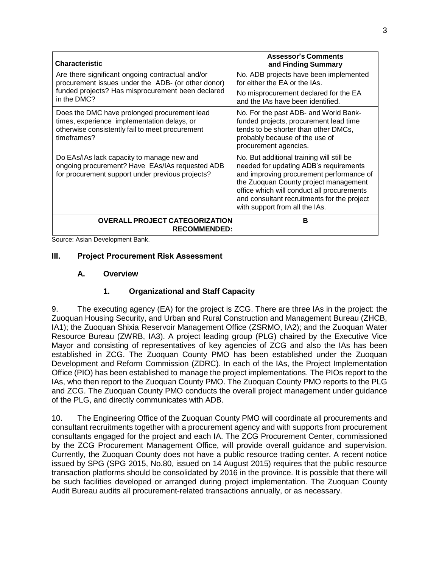| <b>Characteristic</b>                                                                                                                                         | <b>Assessor's Comments</b><br>and Finding Summary                                                                                                                                                                                                                                                       |
|---------------------------------------------------------------------------------------------------------------------------------------------------------------|---------------------------------------------------------------------------------------------------------------------------------------------------------------------------------------------------------------------------------------------------------------------------------------------------------|
| Are there significant ongoing contractual and/or<br>procurement issues under the ADB- (or other donor)                                                        | No. ADB projects have been implemented<br>for either the EA or the IAs.                                                                                                                                                                                                                                 |
| funded projects? Has misprocurement been declared<br>in the DMC?                                                                                              | No misprocurement declared for the EA<br>and the IAs have been identified.                                                                                                                                                                                                                              |
| Does the DMC have prolonged procurement lead<br>times, experience implementation delays, or<br>otherwise consistently fail to meet procurement<br>timeframes? | No. For the past ADB- and World Bank-<br>funded projects, procurement lead time<br>tends to be shorter than other DMCs,<br>probably because of the use of<br>procurement agencies.                                                                                                                      |
| Do EAs/IAs lack capacity to manage new and<br>ongoing procurement? Have EAs/IAs requested ADB<br>for procurement support under previous projects?             | No. But additional training will still be<br>needed for updating ADB's requirements<br>and improving procurement performance of<br>the Zuoquan County project management<br>office which will conduct all procurements<br>and consultant recruitments for the project<br>with support from all the IAs. |
| <b>OVERALL PROJECT CATEGORIZATION</b><br><b>RECOMMENDED:</b>                                                                                                  | в                                                                                                                                                                                                                                                                                                       |

<span id="page-8-0"></span>Source: Asian Development Bank.

#### **III. Project Procurement Risk Assessment**

#### **A. Overview**

#### **1. Organizational and Staff Capacity**

9. The executing agency (EA) for the project is ZCG. There are three IAs in the project: the Zuoquan Housing Security, and Urban and Rural Construction and Management Bureau (ZHCB, IA1); the Zuoquan Shixia Reservoir Management Office (ZSRMO, IA2); and the Zuoquan Water Resource Bureau (ZWRB, IA3). A project leading group (PLG) chaired by the Executive Vice Mayor and consisting of representatives of key agencies of ZCG and also the IAs has been established in ZCG. The Zuoquan County PMO has been established under the Zuoquan Development and Reform Commission (ZDRC). In each of the IAs, the Project Implementation Office (PIO) has been established to manage the project implementations. The PIOs report to the IAs, who then report to the Zuoquan County PMO. The Zuoquan County PMO reports to the PLG and ZCG. The Zuoquan County PMO conducts the overall project management under guidance of the PLG, and directly communicates with ADB.

10. The Engineering Office of the Zuoquan County PMO will coordinate all procurements and consultant recruitments together with a procurement agency and with supports from procurement consultants engaged for the project and each IA. The ZCG Procurement Center, commissioned by the ZCG Procurement Management Office, will provide overall guidance and supervision. Currently, the Zuoquan County does not have a public resource trading center. A recent notice issued by SPG (SPG 2015, No.80, issued on 14 August 2015) requires that the public resource transaction platforms should be consolidated by 2016 in the province. It is possible that there will be such facilities developed or arranged during project implementation. The Zuoquan County Audit Bureau audits all procurement-related transactions annually, or as necessary.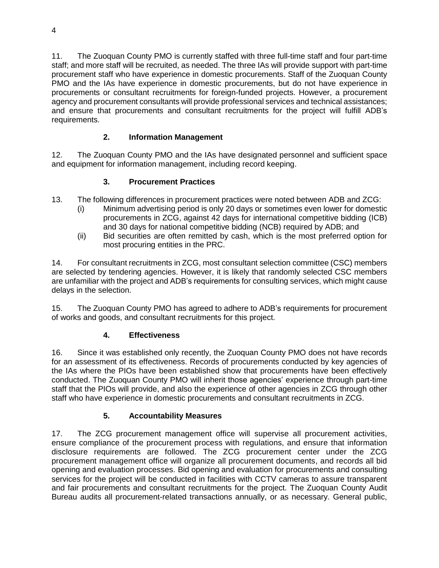11. The Zuoquan County PMO is currently staffed with three full-time staff and four part-time staff; and more staff will be recruited, as needed. The three IAs will provide support with part-time procurement staff who have experience in domestic procurements. Staff of the Zuoquan County PMO and the IAs have experience in domestic procurements, but do not have experience in procurements or consultant recruitments for foreign-funded projects. However, a procurement agency and procurement consultants will provide professional services and technical assistances; and ensure that procurements and consultant recruitments for the project will fulfill ADB's requirements.

## **2. Information Management**

12. The Zuoquan County PMO and the IAs have designated personnel and sufficient space and equipment for information management, including record keeping.

## **3. Procurement Practices**

- 13. The following differences in procurement practices were noted between ADB and ZCG:
	- (i) Minimum advertising period is only 20 days or sometimes even lower for domestic procurements in ZCG, against 42 days for international competitive bidding (ICB) and 30 days for national competitive bidding (NCB) required by ADB; and
	- (ii) Bid securities are often remitted by cash, which is the most preferred option for most procuring entities in the PRC.

14. For consultant recruitments in ZCG, most consultant selection committee (CSC) members are selected by tendering agencies. However, it is likely that randomly selected CSC members are unfamiliar with the project and ADB's requirements for consulting services, which might cause delays in the selection.

15. The Zuoquan County PMO has agreed to adhere to ADB's requirements for procurement of works and goods, and consultant recruitments for this project.

## **4. Effectiveness**

16. Since it was established only recently, the Zuoquan County PMO does not have records for an assessment of its effectiveness. Records of procurements conducted by key agencies of the IAs where the PIOs have been established show that procurements have been effectively conducted. The Zuoquan County PMO will inherit those agencies' experience through part-time staff that the PIOs will provide, and also the experience of other agencies in ZCG through other staff who have experience in domestic procurements and consultant recruitments in ZCG.

## **5. Accountability Measures**

17. The ZCG procurement management office will supervise all procurement activities, ensure compliance of the procurement process with regulations, and ensure that information disclosure requirements are followed. The ZCG procurement center under the ZCG procurement management office will organize all procurement documents, and records all bid opening and evaluation processes. Bid opening and evaluation for procurements and consulting services for the project will be conducted in facilities with CCTV cameras to assure transparent and fair procurements and consultant recruitments for the project. The Zuoquan County Audit Bureau audits all procurement-related transactions annually, or as necessary. General public,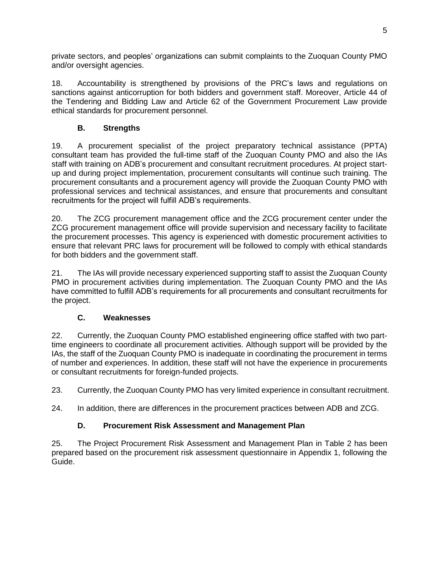private sectors, and peoples' organizations can submit complaints to the Zuoquan County PMO and/or oversight agencies.

18. Accountability is strengthened by provisions of the PRC's laws and regulations on sanctions against anticorruption for both bidders and government staff. Moreover, Article 44 of the Tendering and Bidding Law and Article 62 of the Government Procurement Law provide ethical standards for procurement personnel.

## **B. Strengths**

19. A procurement specialist of the project preparatory technical assistance (PPTA) consultant team has provided the full-time staff of the Zuoquan County PMO and also the IAs staff with training on ADB's procurement and consultant recruitment procedures. At project startup and during project implementation, procurement consultants will continue such training. The procurement consultants and a procurement agency will provide the Zuoquan County PMO with professional services and technical assistances, and ensure that procurements and consultant recruitments for the project will fulfill ADB's requirements.

20. The ZCG procurement management office and the ZCG procurement center under the ZCG procurement management office will provide supervision and necessary facility to facilitate the procurement processes. This agency is experienced with domestic procurement activities to ensure that relevant PRC laws for procurement will be followed to comply with ethical standards for both bidders and the government staff.

21. The IAs will provide necessary experienced supporting staff to assist the Zuoquan County PMO in procurement activities during implementation. The Zuoquan County PMO and the IAs have committed to fulfill ADB's requirements for all procurements and consultant recruitments for the project.

## **C. Weaknesses**

22. Currently, the Zuoquan County PMO established engineering office staffed with two parttime engineers to coordinate all procurement activities. Although support will be provided by the IAs, the staff of the Zuoquan County PMO is inadequate in coordinating the procurement in terms of number and experiences. In addition, these staff will not have the experience in procurements or consultant recruitments for foreign-funded projects.

23. Currently, the Zuoquan County PMO has very limited experience in consultant recruitment.

24. In addition, there are differences in the procurement practices between ADB and ZCG.

## **D. Procurement Risk Assessment and Management Plan**

25. The Project Procurement Risk Assessment and Management Plan in Table 2 has been prepared based on the procurement risk assessment questionnaire in Appendix 1, following the Guide.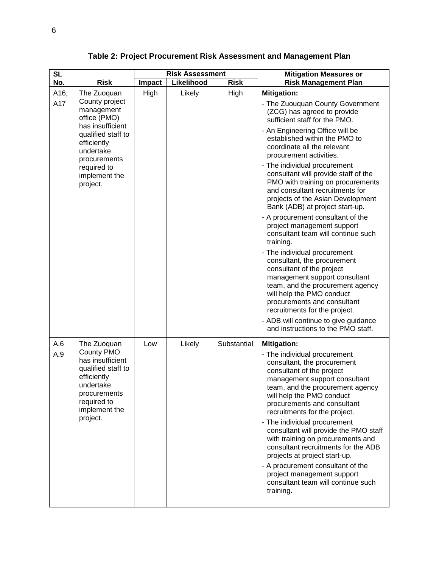| <b>SL</b>   |                                                                                                                                                                                               | <b>Risk Assessment</b> |            |             | <b>Mitigation Measures or</b>                                                                                                                                                                                                                                                                                                                                                                                                                                                                                                                                                                                                                                                                                                                                                                                                                                                                                                                  |
|-------------|-----------------------------------------------------------------------------------------------------------------------------------------------------------------------------------------------|------------------------|------------|-------------|------------------------------------------------------------------------------------------------------------------------------------------------------------------------------------------------------------------------------------------------------------------------------------------------------------------------------------------------------------------------------------------------------------------------------------------------------------------------------------------------------------------------------------------------------------------------------------------------------------------------------------------------------------------------------------------------------------------------------------------------------------------------------------------------------------------------------------------------------------------------------------------------------------------------------------------------|
| No.         | <b>Risk</b>                                                                                                                                                                                   | <b>Impact</b>          | Likelihood | <b>Risk</b> | <b>Risk Management Plan</b>                                                                                                                                                                                                                                                                                                                                                                                                                                                                                                                                                                                                                                                                                                                                                                                                                                                                                                                    |
| A16,<br>A17 | The Zuoquan<br>County project<br>management<br>office (PMO)<br>has insufficient<br>qualified staff to<br>efficiently<br>undertake<br>procurements<br>required to<br>implement the<br>project. | High                   | Likely     | High        | <b>Mitigation:</b><br>- The Zuouquan County Government<br>(ZCG) has agreed to provide<br>sufficient staff for the PMO.<br>- An Engineering Office will be<br>established within the PMO to<br>coordinate all the relevant<br>procurement activities.<br>- The individual procurement<br>consultant will provide staff of the<br>PMO with training on procurements<br>and consultant recruitments for<br>projects of the Asian Development<br>Bank (ADB) at project start-up.<br>- A procurement consultant of the<br>project management support<br>consultant team will continue such<br>training.<br>- The individual procurement<br>consultant, the procurement<br>consultant of the project<br>management support consultant<br>team, and the procurement agency<br>will help the PMO conduct<br>procurements and consultant<br>recruitments for the project.<br>- ADB will continue to give guidance<br>and instructions to the PMO staff. |
| A.6<br>A.9  | The Zuoquan<br><b>County PMO</b><br>has insufficient<br>qualified staff to<br>efficiently<br>undertake<br>procurements<br>required to<br>implement the<br>project.                            | Low                    | Likely     | Substantial | <b>Mitigation:</b><br>- The individual procurement<br>consultant, the procurement<br>consultant of the project<br>management support consultant<br>team, and the procurement agency<br>will help the PMO conduct<br>procurements and consultant<br>recruitments for the project.<br>- The individual procurement<br>consultant will provide the PMO staff<br>with training on procurements and<br>consultant recruitments for the ADB<br>projects at project start-up.<br>- A procurement consultant of the<br>project management support<br>consultant team will continue such<br>training.                                                                                                                                                                                                                                                                                                                                                   |

**Table 2: Project Procurement Risk Assessment and Management Plan**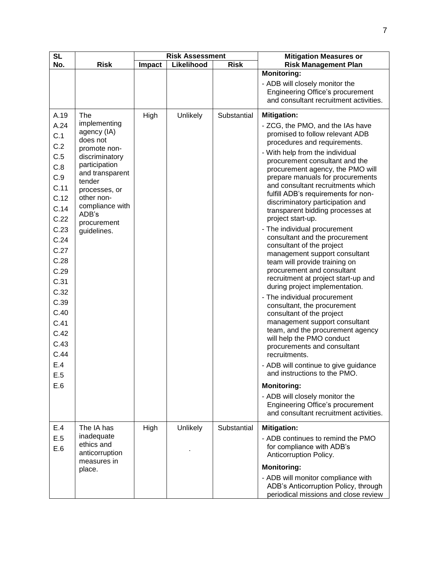| <b>SL</b>                                                                                                                                                                                            |                                                                                                                                                                                                                  | <b>Risk Assessment</b> |            |             | <b>Mitigation Measures or</b>                                                                                                                                                                                                                                                                                                                                                                                                                                                                                                                                                                                                                                                                                                                                                                                                                                                                                                                                                                                                                                                                                                                                        |
|------------------------------------------------------------------------------------------------------------------------------------------------------------------------------------------------------|------------------------------------------------------------------------------------------------------------------------------------------------------------------------------------------------------------------|------------------------|------------|-------------|----------------------------------------------------------------------------------------------------------------------------------------------------------------------------------------------------------------------------------------------------------------------------------------------------------------------------------------------------------------------------------------------------------------------------------------------------------------------------------------------------------------------------------------------------------------------------------------------------------------------------------------------------------------------------------------------------------------------------------------------------------------------------------------------------------------------------------------------------------------------------------------------------------------------------------------------------------------------------------------------------------------------------------------------------------------------------------------------------------------------------------------------------------------------|
| No.                                                                                                                                                                                                  | <b>Risk</b>                                                                                                                                                                                                      | Impact                 | Likelihood | <b>Risk</b> | <b>Risk Management Plan</b>                                                                                                                                                                                                                                                                                                                                                                                                                                                                                                                                                                                                                                                                                                                                                                                                                                                                                                                                                                                                                                                                                                                                          |
|                                                                                                                                                                                                      |                                                                                                                                                                                                                  |                        |            |             | <b>Monitoring:</b><br>- ADB will closely monitor the<br><b>Engineering Office's procurement</b><br>and consultant recruitment activities.                                                                                                                                                                                                                                                                                                                                                                                                                                                                                                                                                                                                                                                                                                                                                                                                                                                                                                                                                                                                                            |
| A.19                                                                                                                                                                                                 | The                                                                                                                                                                                                              | High                   | Unlikely   | Substantial | <b>Mitigation:</b>                                                                                                                                                                                                                                                                                                                                                                                                                                                                                                                                                                                                                                                                                                                                                                                                                                                                                                                                                                                                                                                                                                                                                   |
| A.24<br>C.1<br>C.2<br>C.5<br>C.8<br>C.9<br>C.11<br>C.12<br>C.14<br>C.22<br>C.23<br>C.24<br>C.27<br>C.28<br>C.29<br>C.31<br>C.32<br>C.39<br>C.40<br>C.41<br>C.42<br>C.43<br>C.44<br>E.4<br>E.5<br>E.6 | implementing<br>agency (IA)<br>does not<br>promote non-<br>discriminatory<br>participation<br>and transparent<br>tender<br>processes, or<br>other non-<br>compliance with<br>ADB's<br>procurement<br>guidelines. |                        |            |             | - ZCG, the PMO, and the IAs have<br>promised to follow relevant ADB<br>procedures and requirements.<br>- With help from the individual<br>procurement consultant and the<br>procurement agency, the PMO will<br>prepare manuals for procurements<br>and consultant recruitments which<br>fulfill ADB's requirements for non-<br>discriminatory participation and<br>transparent bidding processes at<br>project start-up.<br>- The individual procurement<br>consultant and the procurement<br>consultant of the project<br>management support consultant<br>team will provide training on<br>procurement and consultant<br>recruitment at project start-up and<br>during project implementation.<br>- The individual procurement<br>consultant, the procurement<br>consultant of the project<br>management support consultant<br>team, and the procurement agency<br>will help the PMO conduct<br>procurements and consultant<br>recruitments.<br>- ADB will continue to give guidance<br>and instructions to the PMO.<br><b>Monitoring:</b><br>- ADB will closely monitor the<br><b>Engineering Office's procurement</b><br>and consultant recruitment activities. |
| E.4<br>E.5<br>E.6                                                                                                                                                                                    | The IA has<br>inadequate<br>ethics and<br>anticorruption<br>measures in                                                                                                                                          | High                   | Unlikely   | Substantial | <b>Mitigation:</b><br>- ADB continues to remind the PMO<br>for compliance with ADB's<br>Anticorruption Policy.                                                                                                                                                                                                                                                                                                                                                                                                                                                                                                                                                                                                                                                                                                                                                                                                                                                                                                                                                                                                                                                       |
|                                                                                                                                                                                                      | place.                                                                                                                                                                                                           |                        |            |             | <b>Monitoring:</b><br>- ADB will monitor compliance with<br>ADB's Anticorruption Policy, through<br>periodical missions and close review                                                                                                                                                                                                                                                                                                                                                                                                                                                                                                                                                                                                                                                                                                                                                                                                                                                                                                                                                                                                                             |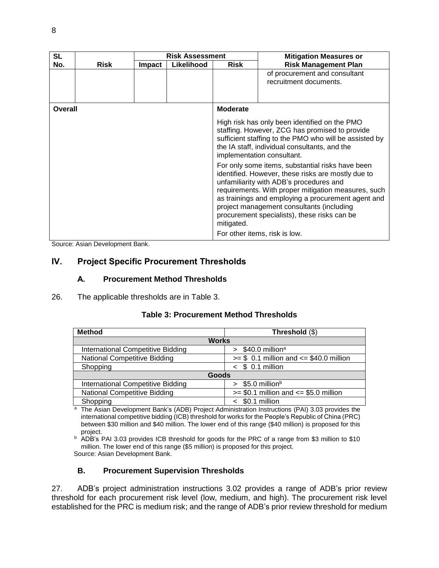| <b>SL</b> |             |               | <b>Risk Assessment</b> |                                                                                                                                                                                                                                                                                                                                                                                                            | <b>Mitigation Measures or</b>                                                                                                                                                                                                            |  |  |
|-----------|-------------|---------------|------------------------|------------------------------------------------------------------------------------------------------------------------------------------------------------------------------------------------------------------------------------------------------------------------------------------------------------------------------------------------------------------------------------------------------------|------------------------------------------------------------------------------------------------------------------------------------------------------------------------------------------------------------------------------------------|--|--|
| No.       | <b>Risk</b> | <b>Impact</b> | Likelihood             | <b>Risk</b>                                                                                                                                                                                                                                                                                                                                                                                                | <b>Risk Management Plan</b>                                                                                                                                                                                                              |  |  |
|           |             |               |                        |                                                                                                                                                                                                                                                                                                                                                                                                            | of procurement and consultant<br>recruitment documents.                                                                                                                                                                                  |  |  |
| Overall   |             |               |                        | <b>Moderate</b>                                                                                                                                                                                                                                                                                                                                                                                            |                                                                                                                                                                                                                                          |  |  |
|           |             |               |                        |                                                                                                                                                                                                                                                                                                                                                                                                            | High risk has only been identified on the PMO<br>staffing. However, ZCG has promised to provide<br>sufficient staffing to the PMO who will be assisted by<br>the IA staff, individual consultants, and the<br>implementation consultant. |  |  |
|           |             |               |                        | For only some items, substantial risks have been<br>identified. However, these risks are mostly due to<br>unfamiliarity with ADB's procedures and<br>requirements. With proper mitigation measures, such<br>as trainings and employing a procurement agent and<br>project management consultants (including<br>procurement specialists), these risks can be<br>mitigated.<br>For other items, risk is low. |                                                                                                                                                                                                                                          |  |  |
|           |             |               |                        |                                                                                                                                                                                                                                                                                                                                                                                                            |                                                                                                                                                                                                                                          |  |  |

<span id="page-13-0"></span>Source: Asian Development Bank.

## **IV. Project Specific Procurement Thresholds**

#### **A. Procurement Method Thresholds**

26. The applicable thresholds are in Table 3.

| <b>Table 3: Procurement Method Thresholds</b> |  |  |
|-----------------------------------------------|--|--|
|-----------------------------------------------|--|--|

| <b>Method</b>                            | Threshold (\$)                               |  |  |  |
|------------------------------------------|----------------------------------------------|--|--|--|
| <b>Works</b>                             |                                              |  |  |  |
| <b>International Competitive Bidding</b> | $$40.0$ million <sup>a</sup><br>$\mathbf{v}$ |  |  |  |
| <b>National Competitive Bidding</b>      | $>= $ 0.1$ million and $<= $40.0$ million    |  |  |  |
| Shopping                                 | $<$ \$ 0.1 million                           |  |  |  |
| Goods                                    |                                              |  |  |  |
| <b>International Competitive Bidding</b> | \$5.0 million <sup>b</sup><br>$\geq$         |  |  |  |
| National Competitive Bidding             | $>= $0.1$ million and $<= $5.0$ million      |  |  |  |
| Shopping                                 | \$0.1 million                                |  |  |  |

<sup>a</sup> The Asian Development Bank's (ADB) Project Administration Instructions (PAI) 3.03 provides the international competitive bidding (ICB) threshold for works for the People's Republic of China (PRC) between \$30 million and \$40 million. The lower end of this range (\$40 million) is proposed for this project.

b ADB's PAI 3.03 provides ICB threshold for goods for the PRC of a range from \$3 million to \$10 million. The lower end of this range (\$5 million) is proposed for this project. Source: Asian Development Bank.

## **B. Procurement Supervision Thresholds**

27. ADB's project administration instructions 3.02 provides a range of ADB's prior review threshold for each procurement risk level (low, medium, and high). The procurement risk level established for the PRC is medium risk; and the range of ADB's prior review threshold for medium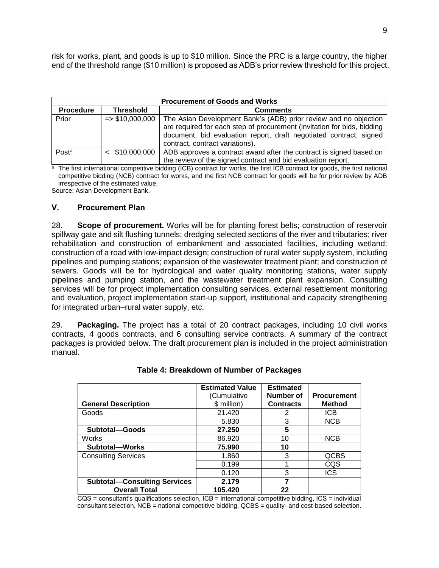risk for works, plant, and goods is up to \$10 million. Since the PRC is a large country, the higher end of the threshold range (\$10 million) is proposed as ADB's prior review threshold for this project.

|                  | <b>Procurement of Goods and Works</b> |                                                                                                                                                                                                                                                      |  |  |
|------------------|---------------------------------------|------------------------------------------------------------------------------------------------------------------------------------------------------------------------------------------------------------------------------------------------------|--|--|
| <b>Procedure</b> | <b>Threshold</b>                      | <b>Comments</b>                                                                                                                                                                                                                                      |  |  |
| Prior            | $=$ \$10,000,000                      | The Asian Development Bank's (ADB) prior review and no objection<br>are required for each step of procurement (invitation for bids, bidding<br>document, bid evaluation report, draft negotiated contract, signed<br>contract, contract variations). |  |  |
| Posta            | $<$ \$10,000,000                      | ADB approves a contract award after the contract is signed based on<br>the review of the signed contract and bid evaluation report.                                                                                                                  |  |  |

<sup>a</sup> The first international competitive bidding (ICB) contract for works, the first ICB contract for goods, the first national competitive bidding (NCB) contract for works, and the first NCB contract for goods will be for prior review by ADB irrespective of the estimated value. Source: Asian Development Bank.

## <span id="page-14-0"></span>**V. Procurement Plan**

28. **Scope of procurement.** Works will be for planting forest belts; construction of reservoir spillway gate and silt flushing tunnels; dredging selected sections of the river and tributaries; river rehabilitation and construction of embankment and associated facilities, including wetland; construction of a road with low-impact design; construction of rural water supply system, including pipelines and pumping stations; expansion of the wastewater treatment plant; and construction of sewers. Goods will be for hydrological and water quality monitoring stations, water supply pipelines and pumping station, and the wastewater treatment plant expansion. Consulting services will be for project implementation consulting services, external resettlement monitoring and evaluation, project implementation start-up support, institutional and capacity strengthening for integrated urban–rural water supply, etc.

29. **Packaging.** The project has a total of 20 contract packages, including 10 civil works contracts, 4 goods contracts, and 6 consulting service contracts. A summary of the contract packages is provided below. The draft procurement plan is included in the project administration manual.

| <b>General Description</b>          | <b>Estimated Value</b><br>(Cumulative<br>\$ million) | <b>Estimated</b><br>Number of<br><b>Contracts</b> | <b>Procurement</b><br><b>Method</b> |
|-------------------------------------|------------------------------------------------------|---------------------------------------------------|-------------------------------------|
| Goods                               | 21.420                                               | 2                                                 | <b>ICB</b>                          |
|                                     | 5.830                                                | 3                                                 | <b>NCB</b>                          |
| Subtotal-Goods                      | 27.250                                               | 5                                                 |                                     |
| Works                               | 86.920                                               | 10                                                | <b>NCB</b>                          |
| Subtotal-Works                      | 75.990                                               | 10                                                |                                     |
| <b>Consulting Services</b>          | 1.860                                                | 3                                                 | <b>QCBS</b>                         |
|                                     | 0.199                                                |                                                   | CQS                                 |
|                                     | 0.120                                                | 3                                                 | <b>ICS</b>                          |
| <b>Subtotal-Consulting Services</b> | 2.179                                                |                                                   |                                     |
| <b>Overall Total</b>                | 105.420                                              | 22                                                |                                     |

**Table 4: Breakdown of Number of Packages**

CQS = consultant's qualifications selection, ICB = international competitive bidding, ICS = individual consultant selection, NCB = national competitive bidding, QCBS = quality- and cost-based selection.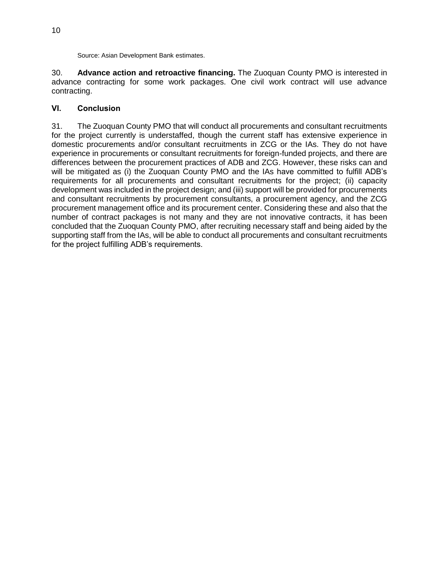Source: Asian Development Bank estimates.

30. **Advance action and retroactive financing.** The Zuoquan County PMO is interested in advance contracting for some work packages. One civil work contract will use advance contracting.

### <span id="page-15-0"></span>**VI. Conclusion**

31. The Zuoquan County PMO that will conduct all procurements and consultant recruitments for the project currently is understaffed, though the current staff has extensive experience in domestic procurements and/or consultant recruitments in ZCG or the IAs. They do not have experience in procurements or consultant recruitments for foreign-funded projects, and there are differences between the procurement practices of ADB and ZCG. However, these risks can and will be mitigated as (i) the Zuoquan County PMO and the IAs have committed to fulfill ADB's requirements for all procurements and consultant recruitments for the project; (ii) capacity development was included in the project design; and (iii) support will be provided for procurements and consultant recruitments by procurement consultants, a procurement agency, and the ZCG procurement management office and its procurement center. Considering these and also that the number of contract packages is not many and they are not innovative contracts, it has been concluded that the Zuoquan County PMO, after recruiting necessary staff and being aided by the supporting staff from the IAs, will be able to conduct all procurements and consultant recruitments for the project fulfilling ADB's requirements.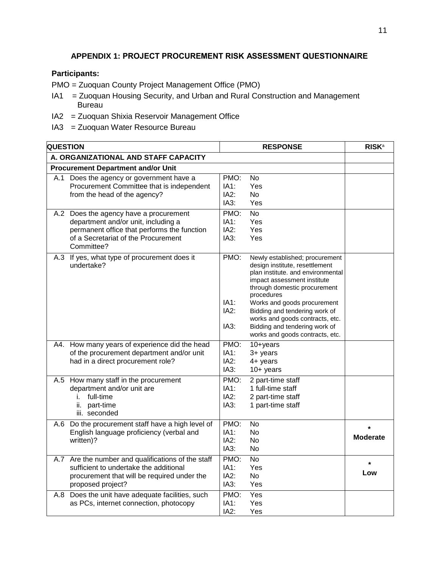## **APPENDIX 1: PROJECT PROCUREMENT RISK ASSESSMENT QUESTIONNAIRE**

### <span id="page-16-0"></span>**Participants:**

PMO = Zuoquan County Project Management Office (PMO)

- IA1 = Zuoquan Housing Security, and Urban and Rural Construction and Management Bureau
- IA2 = Zuoquan Shixia Reservoir Management Office
- IA3 = Zuoquan Water Resource Bureau

| <b>QUESTION</b>                      |                                                                                                                                                                                   | <b>RESPONSE</b>              |                                                                                                                                                                                                                                                                                                                                                           | <b>RISK</b> a   |
|--------------------------------------|-----------------------------------------------------------------------------------------------------------------------------------------------------------------------------------|------------------------------|-----------------------------------------------------------------------------------------------------------------------------------------------------------------------------------------------------------------------------------------------------------------------------------------------------------------------------------------------------------|-----------------|
| A. ORGANIZATIONAL AND STAFF CAPACITY |                                                                                                                                                                                   |                              |                                                                                                                                                                                                                                                                                                                                                           |                 |
|                                      | <b>Procurement Department and/or Unit</b>                                                                                                                                         |                              |                                                                                                                                                                                                                                                                                                                                                           |                 |
|                                      | A.1 Does the agency or government have a<br>Procurement Committee that is independent<br>from the head of the agency?                                                             | PMO:<br>IA1:<br>IA2:<br>IA3: | No.<br>Yes<br>No.<br>Yes                                                                                                                                                                                                                                                                                                                                  |                 |
|                                      | A.2 Does the agency have a procurement<br>department and/or unit, including a<br>permanent office that performs the function<br>of a Secretariat of the Procurement<br>Committee? | PMO:<br>IA1:<br>IA2:<br>IA3: | $\overline{N}$<br>Yes<br>Yes<br>Yes                                                                                                                                                                                                                                                                                                                       |                 |
|                                      | A.3 If yes, what type of procurement does it<br>undertake?                                                                                                                        | PMO:<br>IA1:<br>IA2:<br>IA3: | Newly established; procurement<br>design institute, resettlement<br>plan institute. and environmental<br>impact assessment institute<br>through domestic procurement<br>procedures<br>Works and goods procurement<br>Bidding and tendering work of<br>works and goods contracts, etc.<br>Bidding and tendering work of<br>works and goods contracts, etc. |                 |
|                                      | A4. How many years of experience did the head<br>of the procurement department and/or unit<br>had in a direct procurement role?                                                   | PMO:<br>IA1:<br>IA2:<br>IA3: | $10 + years$<br>3+ years<br>4+ years<br>$10+$ years                                                                                                                                                                                                                                                                                                       |                 |
|                                      | A.5 How many staff in the procurement<br>department and/or unit are<br>full-time<br>i.<br>ii. part-time<br>iii. seconded                                                          | PMO:<br>IA1:<br>IA2:<br>IA3: | 2 part-time staff<br>1 full-time staff<br>2 part-time staff<br>1 part-time staff                                                                                                                                                                                                                                                                          |                 |
|                                      | A.6 Do the procurement staff have a high level of<br>English language proficiency (verbal and<br>written)?                                                                        | PMO:<br>IA1:<br>IA2:<br>IA3: | <b>No</b><br>No.<br>No.<br>No.                                                                                                                                                                                                                                                                                                                            | <b>Moderate</b> |
|                                      | A.7 Are the number and qualifications of the staff<br>sufficient to undertake the additional<br>procurement that will be required under the<br>proposed project?                  | PMO:<br>IA1:<br>IA2:<br>IA3: | <b>No</b><br>Yes<br>No.<br>Yes                                                                                                                                                                                                                                                                                                                            | $\star$<br>Low  |
|                                      | A.8 Does the unit have adequate facilities, such<br>as PCs, internet connection, photocopy                                                                                        | PMO:<br>IA1:<br>IA2:         | $\overline{Y}$ es<br>Yes<br>Yes                                                                                                                                                                                                                                                                                                                           |                 |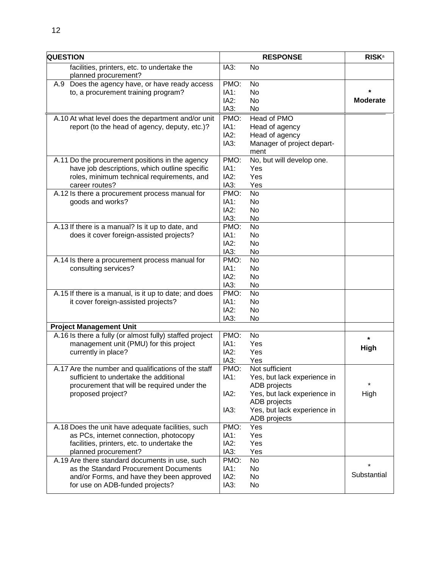| <b>QUESTION</b>                                                                                                                                                         | <b>RESPONSE</b>              |                                                                                                                                                             | <b>RISK</b> <sup>a</sup> |
|-------------------------------------------------------------------------------------------------------------------------------------------------------------------------|------------------------------|-------------------------------------------------------------------------------------------------------------------------------------------------------------|--------------------------|
| facilities, printers, etc. to undertake the<br>planned procurement?                                                                                                     | IA3:                         | <b>No</b>                                                                                                                                                   |                          |
| A.9 Does the agency have, or have ready access<br>to, a procurement training program?                                                                                   | PMO:<br>IA1:<br>IA2:<br>IA3: | <b>No</b><br><b>No</b><br>N <sub>o</sub><br>No                                                                                                              | <b>Moderate</b>          |
| A.10 At what level does the department and/or unit<br>report (to the head of agency, deputy, etc.)?                                                                     | PMO:<br>IA1:<br>IA2:<br>IA3: | Head of PMO<br>Head of agency<br>Head of agency<br>Manager of project depart-<br>ment                                                                       |                          |
| A.11 Do the procurement positions in the agency<br>have job descriptions, which outline specific<br>roles, minimum technical requirements, and<br>career routes?        | PMO:<br>IA1:<br>IA2:<br>IA3: | No, but will develop one.<br>Yes<br>Yes<br>Yes                                                                                                              |                          |
| A.12 Is there a procurement process manual for<br>goods and works?                                                                                                      | PMO:<br>IA1:<br>IA2:<br>IA3: | <b>No</b><br><b>No</b><br>No<br>No                                                                                                                          |                          |
| A.13 If there is a manual? Is it up to date, and<br>does it cover foreign-assisted projects?                                                                            | PMO:<br>IA1:<br>IA2:<br>IA3: | <b>No</b><br>No<br>No<br>No                                                                                                                                 |                          |
| A.14 Is there a procurement process manual for<br>consulting services?                                                                                                  | PMO:<br>IA1:<br>IA2:<br>IA3: | <b>No</b><br>No<br>No<br>No                                                                                                                                 |                          |
| A.15 If there is a manual, is it up to date; and does<br>it cover foreign-assisted projects?                                                                            | PMO:<br>IA1:<br>IA2:<br>IA3: | <b>No</b><br>No<br>No<br>No                                                                                                                                 |                          |
| <b>Project Management Unit</b>                                                                                                                                          |                              |                                                                                                                                                             |                          |
| A.16 Is there a fully (or almost fully) staffed project<br>management unit (PMU) for this project<br>currently in place?                                                | PMO:<br>IA1:<br>IA2:<br>IA3: | <b>No</b><br>Yes<br>Yes<br>Yes                                                                                                                              | $\star$<br><b>High</b>   |
| A.17 Are the number and qualifications of the staff<br>sufficient to undertake the additional<br>procurement that will be required under the<br>proposed project?       | PMO:<br>IA1:<br>IA2:<br>IA3: | Not sufficient<br>Yes, but lack experience in<br>ADB projects<br>Yes, but lack experience in<br>ADB projects<br>Yes, but lack experience in<br>ADB projects | $\star$<br>High          |
| A.18 Does the unit have adequate facilities, such<br>as PCs, internet connection, photocopy<br>facilities, printers, etc. to undertake the<br>planned procurement?      | PMO:<br>IA1:<br>IA2:<br>IA3: | Yes<br>Yes<br>Yes<br>Yes                                                                                                                                    |                          |
| A.19 Are there standard documents in use, such<br>as the Standard Procurement Documents<br>and/or Forms, and have they been approved<br>for use on ADB-funded projects? | PMO:<br>IA1:<br>IA2:<br>IA3: | No<br>No<br>No.<br>No                                                                                                                                       | $^\star$<br>Substantial  |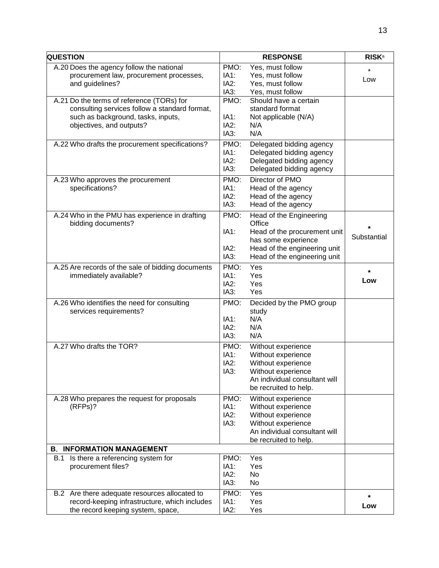| <b>QUESTION</b>                                                                                                                                              |                              | <b>RESPONSE</b>                                                                                                                                          | <b>RISK</b> <sup>a</sup> |
|--------------------------------------------------------------------------------------------------------------------------------------------------------------|------------------------------|----------------------------------------------------------------------------------------------------------------------------------------------------------|--------------------------|
| A.20 Does the agency follow the national<br>procurement law, procurement processes,<br>and guidelines?                                                       | PMO:<br>IA1:<br>IA2:<br>IA3: | Yes, must follow<br>Yes, must follow<br>Yes, must follow<br>Yes, must follow                                                                             | $\star$<br>Low           |
| A.21 Do the terms of reference (TORs) for<br>consulting services follow a standard format,<br>such as background, tasks, inputs,<br>objectives, and outputs? | PMO:<br>IA1:<br>IA2:<br>IA3: | Should have a certain<br>standard format<br>Not applicable (N/A)<br>N/A<br>N/A                                                                           |                          |
| A.22 Who drafts the procurement specifications?                                                                                                              | PMO:<br>IA1:<br>IA2:<br>IA3: | Delegated bidding agency<br>Delegated bidding agency<br>Delegated bidding agency<br>Delegated bidding agency                                             |                          |
| A.23 Who approves the procurement<br>specifications?                                                                                                         | PMO:<br>IA1:<br>IA2:<br>IA3: | Director of PMO<br>Head of the agency<br>Head of the agency<br>Head of the agency                                                                        |                          |
| A.24 Who in the PMU has experience in drafting<br>bidding documents?                                                                                         | PMO:<br>IA1:<br>IA2:<br>IA3: | Head of the Engineering<br>Office<br>Head of the procurement unit<br>has some experience<br>Head of the engineering unit<br>Head of the engineering unit | Substantial              |
| A.25 Are records of the sale of bidding documents<br>immediately available?                                                                                  | PMO:<br>IA1:<br>IA2:<br>IA3: | Yes<br>Yes<br>Yes<br>Yes                                                                                                                                 | *<br>Low                 |
| A.26 Who identifies the need for consulting<br>services requirements?                                                                                        | PMO:<br>IA1:<br>IA2:<br>IA3: | Decided by the PMO group<br>study<br>N/A<br>N/A<br>N/A                                                                                                   |                          |
| A.27 Who drafts the TOR?                                                                                                                                     | PMO:<br>IA1:<br>IA2:<br>IA3: | Without experience<br>Without experience<br>Without experience<br>Without experience<br>An individual consultant will<br>be recruited to help.           |                          |
| A.28 Who prepares the request for proposals<br>(RFPs)?                                                                                                       | PMO:<br>IA1:<br>IA2:<br>IA3: | Without experience<br>Without experience<br>Without experience<br>Without experience<br>An individual consultant will<br>be recruited to help.           |                          |
| <b>B. INFORMATION MANAGEMENT</b>                                                                                                                             |                              |                                                                                                                                                          |                          |
| B.1 Is there a referencing system for<br>procurement files?                                                                                                  | PMO:<br>IA1:<br>IA2:<br>IA3: | Yes<br>Yes<br>No<br>No                                                                                                                                   |                          |
| B.2 Are there adequate resources allocated to<br>record-keeping infrastructure, which includes<br>the record keeping system, space,                          | PMO:<br>IA1:<br>IA2:         | Yes<br>Yes<br>Yes                                                                                                                                        | *<br>Low                 |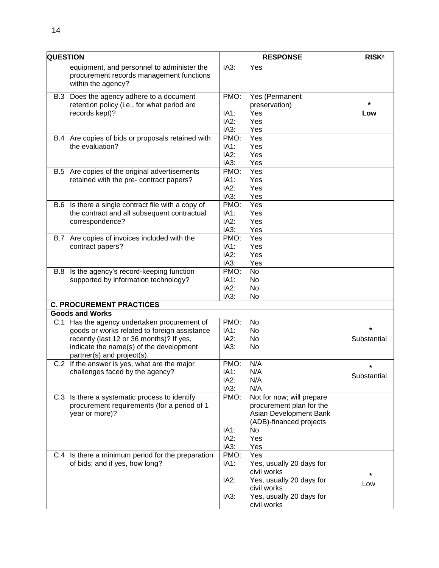|     | <b>QUESTION</b>                                                                                              |              | <b>RESPONSE</b>                         |             |
|-----|--------------------------------------------------------------------------------------------------------------|--------------|-----------------------------------------|-------------|
|     | equipment, and personnel to administer the<br>procurement records management functions<br>within the agency? | IA3:         | Yes                                     |             |
|     | B.3 Does the agency adhere to a document                                                                     | PMO:         | Yes (Permanent                          |             |
|     | retention policy (i.e., for what period are                                                                  |              | preservation)                           |             |
|     | records kept)?                                                                                               | IA1:         | Yes                                     | Low         |
|     |                                                                                                              | IA2:         | Yes                                     |             |
|     |                                                                                                              | IA3:         | Yes                                     |             |
|     | B.4 Are copies of bids or proposals retained with                                                            | PMO:         | Yes                                     |             |
|     | the evaluation?                                                                                              | IA1:         | Yes                                     |             |
|     |                                                                                                              | IA2:         | Yes                                     |             |
|     |                                                                                                              | IA3:         | Yes                                     |             |
|     | B.5 Are copies of the original advertisements                                                                | PMO:         | Yes                                     |             |
|     | retained with the pre- contract papers?                                                                      | IA1:         | Yes                                     |             |
|     |                                                                                                              | IA2:         | Yes                                     |             |
|     |                                                                                                              | IA3:         | Yes                                     |             |
|     | B.6 Is there a single contract file with a copy of                                                           | PMO:         | Yes                                     |             |
|     | the contract and all subsequent contractual                                                                  | IA1:         | Yes                                     |             |
|     | correspondence?                                                                                              | IA2:         | Yes                                     |             |
|     |                                                                                                              | IA3:         | Yes                                     |             |
| B.7 | Are copies of invoices included with the                                                                     | PMO:         | Yes                                     |             |
|     | contract papers?                                                                                             | IA1:<br>IA2: | Yes                                     |             |
|     |                                                                                                              | IA3:         | Yes                                     |             |
|     | B.8 Is the agency's record-keeping function                                                                  | PMO:         | Yes<br><b>No</b>                        |             |
|     | supported by information technology?                                                                         | IA1:         | No                                      |             |
|     |                                                                                                              | IA2:         | No                                      |             |
|     |                                                                                                              | IA3:         | No                                      |             |
|     | <b>C. PROCUREMENT PRACTICES</b>                                                                              |              |                                         |             |
|     | <b>Goods and Works</b>                                                                                       |              |                                         |             |
|     | C.1 Has the agency undertaken procurement of                                                                 | PMO:         | No                                      |             |
|     | goods or works related to foreign assistance                                                                 | IA1:         | No                                      |             |
|     | recently (last 12 or 36 months)? If yes,                                                                     | IA2:         | No                                      | Substantial |
|     | indicate the name(s) of the development                                                                      | IA3:         | No                                      |             |
|     | partner(s) and project(s).                                                                                   |              |                                         |             |
|     | C.2 If the answer is yes, what are the major                                                                 | PMO:         | N/A                                     | $\star$     |
|     | challenges faced by the agency?                                                                              | IA1:         | N/A                                     | Substantial |
|     |                                                                                                              | IA2:         | N/A                                     |             |
|     |                                                                                                              | IA3:         | N/A                                     |             |
|     | C.3 Is there a systematic process to identify                                                                | PMO:         | Not for now; will prepare               |             |
|     | procurement requirements (for a period of 1                                                                  |              | procurement plan for the                |             |
|     | year or more)?                                                                                               |              | Asian Development Bank                  |             |
|     |                                                                                                              |              | (ADB)-financed projects                 |             |
|     |                                                                                                              | IA1:         | <b>No</b>                               |             |
|     |                                                                                                              | IA2:         | Yes                                     |             |
|     |                                                                                                              | IA3:         | Yes                                     |             |
|     | C.4 Is there a minimum period for the preparation                                                            | PMO:         | Yes                                     |             |
|     | of bids; and if yes, how long?                                                                               | IA1:         | Yes, usually 20 days for                |             |
|     |                                                                                                              |              | civil works                             |             |
|     |                                                                                                              | IA2:         | Yes, usually 20 days for<br>civil works | Low         |
|     |                                                                                                              | IA3:         | Yes, usually 20 days for                |             |
|     |                                                                                                              |              | civil works                             |             |
|     |                                                                                                              |              |                                         |             |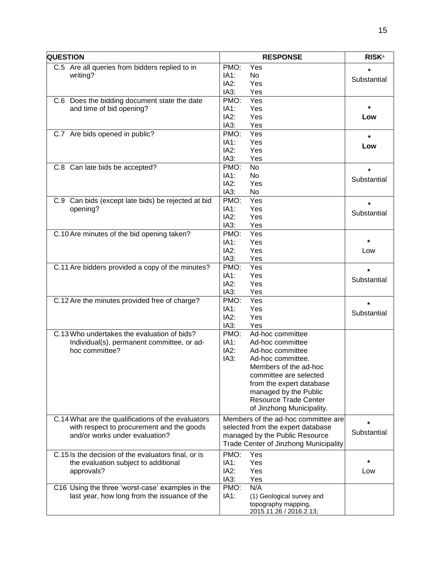| C.5 Are all queries from bidders replied to in<br>PMO:<br>Yes<br>$\star$<br>IA1:<br>writing?<br>No<br>Substantial<br>IA2:<br>Yes<br>IA3:<br>Yes<br>PMO:<br>Yes<br>C.6 Does the bidding document state the date<br>÷<br>and time of bid opening?<br>IA1:<br>Yes<br>IA2:<br>Yes<br>Low<br>IA3:<br>Yes<br>C.7 Are bids opened in public?<br>PMO:<br>Yes<br>$\star$<br>IA1:<br>Yes<br>Low<br>IA2:<br>Yes<br>IA3:<br>Yes<br>PMO:<br><b>No</b><br>C.8 Can late bids be accepted?<br>$\star$<br>IA1:<br><b>No</b><br>Substantial<br>IA2:<br>Yes<br>IA3:<br>No<br>C.9 Can bids (except late bids) be rejected at bid<br>PMO:<br>Yes<br>$\star$<br>IA1:<br>Yes<br>opening?<br>Substantial<br>IA2:<br>Yes<br>IA3:<br>Yes<br>C.10 Are minutes of the bid opening taken?<br>PMO:<br>Yes<br>$\star$<br>IA1:<br>Yes<br>IA2:<br>Yes<br>Low<br>IA3:<br>Yes<br>C.11 Are bidders provided a copy of the minutes?<br>Yes<br>PMO:<br>$\star$<br>IA1:<br>Yes<br>Substantial<br>IA2:<br>Yes<br>IA3:<br>Yes<br>C.12 Are the minutes provided free of charge?<br>PMO:<br>Yes<br>$\star$<br>IA1:<br>Yes<br>Substantial<br>IA2:<br>Yes<br>IA3:<br>Yes<br>C.13 Who undertakes the evaluation of bids?<br>PMO:<br>Ad-hoc committee<br>IA1:<br>Individual(s), permanent committee, or ad-<br>Ad-hoc committee<br>IA2:<br>hoc committee?<br>Ad-hoc committee<br>IA3:<br>Ad-hoc committee.<br>Members of the ad-hoc<br>committee are selected<br>from the expert database<br>managed by the Public<br><b>Resource Trade Center</b><br>of Jinzhong Municipality.<br>C.14 What are the qualifications of the evaluators<br>Members of the ad-hoc committee are<br>$\star$<br>with respect to procurement and the goods<br>selected from the expert database<br>Substantial<br>and/or works under evaluation?<br>managed by the Public Resource<br><b>Trade Center of Jinzhong Municipality</b><br>PMO:<br>C.15 ls the decision of the evaluators final, or is<br>Yes<br>IA1:<br>*<br>the evaluation subject to additional<br>Yes<br>IA2:<br>approvals?<br>Yes<br>Low<br>IA3:<br>Yes<br>PMO:<br>N/A<br>C16 Using the three 'worst-case' examples in the<br>last year, how long from the issuance of the<br>IA1:<br>(1) Geological survey and<br>topography mapping, | <b>QUESTION</b> | <b>RESPONSE</b>         | <b>RISK</b> <sup>a</sup> |
|-----------------------------------------------------------------------------------------------------------------------------------------------------------------------------------------------------------------------------------------------------------------------------------------------------------------------------------------------------------------------------------------------------------------------------------------------------------------------------------------------------------------------------------------------------------------------------------------------------------------------------------------------------------------------------------------------------------------------------------------------------------------------------------------------------------------------------------------------------------------------------------------------------------------------------------------------------------------------------------------------------------------------------------------------------------------------------------------------------------------------------------------------------------------------------------------------------------------------------------------------------------------------------------------------------------------------------------------------------------------------------------------------------------------------------------------------------------------------------------------------------------------------------------------------------------------------------------------------------------------------------------------------------------------------------------------------------------------------------------------------------------------------------------------------------------------------------------------------------------------------------------------------------------------------------------------------------------------------------------------------------------------------------------------------------------------------------------------------------------------------------------------------------------------------------------------------------------------------------------|-----------------|-------------------------|--------------------------|
|                                                                                                                                                                                                                                                                                                                                                                                                                                                                                                                                                                                                                                                                                                                                                                                                                                                                                                                                                                                                                                                                                                                                                                                                                                                                                                                                                                                                                                                                                                                                                                                                                                                                                                                                                                                                                                                                                                                                                                                                                                                                                                                                                                                                                                   |                 |                         |                          |
|                                                                                                                                                                                                                                                                                                                                                                                                                                                                                                                                                                                                                                                                                                                                                                                                                                                                                                                                                                                                                                                                                                                                                                                                                                                                                                                                                                                                                                                                                                                                                                                                                                                                                                                                                                                                                                                                                                                                                                                                                                                                                                                                                                                                                                   |                 |                         |                          |
|                                                                                                                                                                                                                                                                                                                                                                                                                                                                                                                                                                                                                                                                                                                                                                                                                                                                                                                                                                                                                                                                                                                                                                                                                                                                                                                                                                                                                                                                                                                                                                                                                                                                                                                                                                                                                                                                                                                                                                                                                                                                                                                                                                                                                                   |                 |                         |                          |
|                                                                                                                                                                                                                                                                                                                                                                                                                                                                                                                                                                                                                                                                                                                                                                                                                                                                                                                                                                                                                                                                                                                                                                                                                                                                                                                                                                                                                                                                                                                                                                                                                                                                                                                                                                                                                                                                                                                                                                                                                                                                                                                                                                                                                                   |                 |                         |                          |
|                                                                                                                                                                                                                                                                                                                                                                                                                                                                                                                                                                                                                                                                                                                                                                                                                                                                                                                                                                                                                                                                                                                                                                                                                                                                                                                                                                                                                                                                                                                                                                                                                                                                                                                                                                                                                                                                                                                                                                                                                                                                                                                                                                                                                                   |                 |                         |                          |
|                                                                                                                                                                                                                                                                                                                                                                                                                                                                                                                                                                                                                                                                                                                                                                                                                                                                                                                                                                                                                                                                                                                                                                                                                                                                                                                                                                                                                                                                                                                                                                                                                                                                                                                                                                                                                                                                                                                                                                                                                                                                                                                                                                                                                                   |                 |                         |                          |
|                                                                                                                                                                                                                                                                                                                                                                                                                                                                                                                                                                                                                                                                                                                                                                                                                                                                                                                                                                                                                                                                                                                                                                                                                                                                                                                                                                                                                                                                                                                                                                                                                                                                                                                                                                                                                                                                                                                                                                                                                                                                                                                                                                                                                                   |                 |                         |                          |
|                                                                                                                                                                                                                                                                                                                                                                                                                                                                                                                                                                                                                                                                                                                                                                                                                                                                                                                                                                                                                                                                                                                                                                                                                                                                                                                                                                                                                                                                                                                                                                                                                                                                                                                                                                                                                                                                                                                                                                                                                                                                                                                                                                                                                                   |                 |                         |                          |
|                                                                                                                                                                                                                                                                                                                                                                                                                                                                                                                                                                                                                                                                                                                                                                                                                                                                                                                                                                                                                                                                                                                                                                                                                                                                                                                                                                                                                                                                                                                                                                                                                                                                                                                                                                                                                                                                                                                                                                                                                                                                                                                                                                                                                                   |                 |                         |                          |
|                                                                                                                                                                                                                                                                                                                                                                                                                                                                                                                                                                                                                                                                                                                                                                                                                                                                                                                                                                                                                                                                                                                                                                                                                                                                                                                                                                                                                                                                                                                                                                                                                                                                                                                                                                                                                                                                                                                                                                                                                                                                                                                                                                                                                                   |                 |                         |                          |
|                                                                                                                                                                                                                                                                                                                                                                                                                                                                                                                                                                                                                                                                                                                                                                                                                                                                                                                                                                                                                                                                                                                                                                                                                                                                                                                                                                                                                                                                                                                                                                                                                                                                                                                                                                                                                                                                                                                                                                                                                                                                                                                                                                                                                                   |                 |                         |                          |
|                                                                                                                                                                                                                                                                                                                                                                                                                                                                                                                                                                                                                                                                                                                                                                                                                                                                                                                                                                                                                                                                                                                                                                                                                                                                                                                                                                                                                                                                                                                                                                                                                                                                                                                                                                                                                                                                                                                                                                                                                                                                                                                                                                                                                                   |                 |                         |                          |
|                                                                                                                                                                                                                                                                                                                                                                                                                                                                                                                                                                                                                                                                                                                                                                                                                                                                                                                                                                                                                                                                                                                                                                                                                                                                                                                                                                                                                                                                                                                                                                                                                                                                                                                                                                                                                                                                                                                                                                                                                                                                                                                                                                                                                                   |                 |                         |                          |
|                                                                                                                                                                                                                                                                                                                                                                                                                                                                                                                                                                                                                                                                                                                                                                                                                                                                                                                                                                                                                                                                                                                                                                                                                                                                                                                                                                                                                                                                                                                                                                                                                                                                                                                                                                                                                                                                                                                                                                                                                                                                                                                                                                                                                                   |                 |                         |                          |
|                                                                                                                                                                                                                                                                                                                                                                                                                                                                                                                                                                                                                                                                                                                                                                                                                                                                                                                                                                                                                                                                                                                                                                                                                                                                                                                                                                                                                                                                                                                                                                                                                                                                                                                                                                                                                                                                                                                                                                                                                                                                                                                                                                                                                                   |                 |                         |                          |
|                                                                                                                                                                                                                                                                                                                                                                                                                                                                                                                                                                                                                                                                                                                                                                                                                                                                                                                                                                                                                                                                                                                                                                                                                                                                                                                                                                                                                                                                                                                                                                                                                                                                                                                                                                                                                                                                                                                                                                                                                                                                                                                                                                                                                                   |                 |                         |                          |
|                                                                                                                                                                                                                                                                                                                                                                                                                                                                                                                                                                                                                                                                                                                                                                                                                                                                                                                                                                                                                                                                                                                                                                                                                                                                                                                                                                                                                                                                                                                                                                                                                                                                                                                                                                                                                                                                                                                                                                                                                                                                                                                                                                                                                                   |                 |                         |                          |
|                                                                                                                                                                                                                                                                                                                                                                                                                                                                                                                                                                                                                                                                                                                                                                                                                                                                                                                                                                                                                                                                                                                                                                                                                                                                                                                                                                                                                                                                                                                                                                                                                                                                                                                                                                                                                                                                                                                                                                                                                                                                                                                                                                                                                                   |                 |                         |                          |
|                                                                                                                                                                                                                                                                                                                                                                                                                                                                                                                                                                                                                                                                                                                                                                                                                                                                                                                                                                                                                                                                                                                                                                                                                                                                                                                                                                                                                                                                                                                                                                                                                                                                                                                                                                                                                                                                                                                                                                                                                                                                                                                                                                                                                                   |                 |                         |                          |
|                                                                                                                                                                                                                                                                                                                                                                                                                                                                                                                                                                                                                                                                                                                                                                                                                                                                                                                                                                                                                                                                                                                                                                                                                                                                                                                                                                                                                                                                                                                                                                                                                                                                                                                                                                                                                                                                                                                                                                                                                                                                                                                                                                                                                                   |                 |                         |                          |
|                                                                                                                                                                                                                                                                                                                                                                                                                                                                                                                                                                                                                                                                                                                                                                                                                                                                                                                                                                                                                                                                                                                                                                                                                                                                                                                                                                                                                                                                                                                                                                                                                                                                                                                                                                                                                                                                                                                                                                                                                                                                                                                                                                                                                                   |                 |                         |                          |
|                                                                                                                                                                                                                                                                                                                                                                                                                                                                                                                                                                                                                                                                                                                                                                                                                                                                                                                                                                                                                                                                                                                                                                                                                                                                                                                                                                                                                                                                                                                                                                                                                                                                                                                                                                                                                                                                                                                                                                                                                                                                                                                                                                                                                                   |                 |                         |                          |
|                                                                                                                                                                                                                                                                                                                                                                                                                                                                                                                                                                                                                                                                                                                                                                                                                                                                                                                                                                                                                                                                                                                                                                                                                                                                                                                                                                                                                                                                                                                                                                                                                                                                                                                                                                                                                                                                                                                                                                                                                                                                                                                                                                                                                                   |                 |                         |                          |
|                                                                                                                                                                                                                                                                                                                                                                                                                                                                                                                                                                                                                                                                                                                                                                                                                                                                                                                                                                                                                                                                                                                                                                                                                                                                                                                                                                                                                                                                                                                                                                                                                                                                                                                                                                                                                                                                                                                                                                                                                                                                                                                                                                                                                                   |                 |                         |                          |
|                                                                                                                                                                                                                                                                                                                                                                                                                                                                                                                                                                                                                                                                                                                                                                                                                                                                                                                                                                                                                                                                                                                                                                                                                                                                                                                                                                                                                                                                                                                                                                                                                                                                                                                                                                                                                                                                                                                                                                                                                                                                                                                                                                                                                                   |                 |                         |                          |
|                                                                                                                                                                                                                                                                                                                                                                                                                                                                                                                                                                                                                                                                                                                                                                                                                                                                                                                                                                                                                                                                                                                                                                                                                                                                                                                                                                                                                                                                                                                                                                                                                                                                                                                                                                                                                                                                                                                                                                                                                                                                                                                                                                                                                                   |                 |                         |                          |
|                                                                                                                                                                                                                                                                                                                                                                                                                                                                                                                                                                                                                                                                                                                                                                                                                                                                                                                                                                                                                                                                                                                                                                                                                                                                                                                                                                                                                                                                                                                                                                                                                                                                                                                                                                                                                                                                                                                                                                                                                                                                                                                                                                                                                                   |                 |                         |                          |
|                                                                                                                                                                                                                                                                                                                                                                                                                                                                                                                                                                                                                                                                                                                                                                                                                                                                                                                                                                                                                                                                                                                                                                                                                                                                                                                                                                                                                                                                                                                                                                                                                                                                                                                                                                                                                                                                                                                                                                                                                                                                                                                                                                                                                                   |                 |                         |                          |
|                                                                                                                                                                                                                                                                                                                                                                                                                                                                                                                                                                                                                                                                                                                                                                                                                                                                                                                                                                                                                                                                                                                                                                                                                                                                                                                                                                                                                                                                                                                                                                                                                                                                                                                                                                                                                                                                                                                                                                                                                                                                                                                                                                                                                                   |                 |                         |                          |
|                                                                                                                                                                                                                                                                                                                                                                                                                                                                                                                                                                                                                                                                                                                                                                                                                                                                                                                                                                                                                                                                                                                                                                                                                                                                                                                                                                                                                                                                                                                                                                                                                                                                                                                                                                                                                                                                                                                                                                                                                                                                                                                                                                                                                                   |                 |                         |                          |
|                                                                                                                                                                                                                                                                                                                                                                                                                                                                                                                                                                                                                                                                                                                                                                                                                                                                                                                                                                                                                                                                                                                                                                                                                                                                                                                                                                                                                                                                                                                                                                                                                                                                                                                                                                                                                                                                                                                                                                                                                                                                                                                                                                                                                                   |                 |                         |                          |
|                                                                                                                                                                                                                                                                                                                                                                                                                                                                                                                                                                                                                                                                                                                                                                                                                                                                                                                                                                                                                                                                                                                                                                                                                                                                                                                                                                                                                                                                                                                                                                                                                                                                                                                                                                                                                                                                                                                                                                                                                                                                                                                                                                                                                                   |                 |                         |                          |
|                                                                                                                                                                                                                                                                                                                                                                                                                                                                                                                                                                                                                                                                                                                                                                                                                                                                                                                                                                                                                                                                                                                                                                                                                                                                                                                                                                                                                                                                                                                                                                                                                                                                                                                                                                                                                                                                                                                                                                                                                                                                                                                                                                                                                                   |                 |                         |                          |
|                                                                                                                                                                                                                                                                                                                                                                                                                                                                                                                                                                                                                                                                                                                                                                                                                                                                                                                                                                                                                                                                                                                                                                                                                                                                                                                                                                                                                                                                                                                                                                                                                                                                                                                                                                                                                                                                                                                                                                                                                                                                                                                                                                                                                                   |                 |                         |                          |
|                                                                                                                                                                                                                                                                                                                                                                                                                                                                                                                                                                                                                                                                                                                                                                                                                                                                                                                                                                                                                                                                                                                                                                                                                                                                                                                                                                                                                                                                                                                                                                                                                                                                                                                                                                                                                                                                                                                                                                                                                                                                                                                                                                                                                                   |                 |                         |                          |
|                                                                                                                                                                                                                                                                                                                                                                                                                                                                                                                                                                                                                                                                                                                                                                                                                                                                                                                                                                                                                                                                                                                                                                                                                                                                                                                                                                                                                                                                                                                                                                                                                                                                                                                                                                                                                                                                                                                                                                                                                                                                                                                                                                                                                                   |                 |                         |                          |
|                                                                                                                                                                                                                                                                                                                                                                                                                                                                                                                                                                                                                                                                                                                                                                                                                                                                                                                                                                                                                                                                                                                                                                                                                                                                                                                                                                                                                                                                                                                                                                                                                                                                                                                                                                                                                                                                                                                                                                                                                                                                                                                                                                                                                                   |                 |                         |                          |
|                                                                                                                                                                                                                                                                                                                                                                                                                                                                                                                                                                                                                                                                                                                                                                                                                                                                                                                                                                                                                                                                                                                                                                                                                                                                                                                                                                                                                                                                                                                                                                                                                                                                                                                                                                                                                                                                                                                                                                                                                                                                                                                                                                                                                                   |                 |                         |                          |
|                                                                                                                                                                                                                                                                                                                                                                                                                                                                                                                                                                                                                                                                                                                                                                                                                                                                                                                                                                                                                                                                                                                                                                                                                                                                                                                                                                                                                                                                                                                                                                                                                                                                                                                                                                                                                                                                                                                                                                                                                                                                                                                                                                                                                                   |                 |                         |                          |
|                                                                                                                                                                                                                                                                                                                                                                                                                                                                                                                                                                                                                                                                                                                                                                                                                                                                                                                                                                                                                                                                                                                                                                                                                                                                                                                                                                                                                                                                                                                                                                                                                                                                                                                                                                                                                                                                                                                                                                                                                                                                                                                                                                                                                                   |                 |                         |                          |
|                                                                                                                                                                                                                                                                                                                                                                                                                                                                                                                                                                                                                                                                                                                                                                                                                                                                                                                                                                                                                                                                                                                                                                                                                                                                                                                                                                                                                                                                                                                                                                                                                                                                                                                                                                                                                                                                                                                                                                                                                                                                                                                                                                                                                                   |                 |                         |                          |
|                                                                                                                                                                                                                                                                                                                                                                                                                                                                                                                                                                                                                                                                                                                                                                                                                                                                                                                                                                                                                                                                                                                                                                                                                                                                                                                                                                                                                                                                                                                                                                                                                                                                                                                                                                                                                                                                                                                                                                                                                                                                                                                                                                                                                                   |                 |                         |                          |
|                                                                                                                                                                                                                                                                                                                                                                                                                                                                                                                                                                                                                                                                                                                                                                                                                                                                                                                                                                                                                                                                                                                                                                                                                                                                                                                                                                                                                                                                                                                                                                                                                                                                                                                                                                                                                                                                                                                                                                                                                                                                                                                                                                                                                                   |                 |                         |                          |
|                                                                                                                                                                                                                                                                                                                                                                                                                                                                                                                                                                                                                                                                                                                                                                                                                                                                                                                                                                                                                                                                                                                                                                                                                                                                                                                                                                                                                                                                                                                                                                                                                                                                                                                                                                                                                                                                                                                                                                                                                                                                                                                                                                                                                                   |                 |                         |                          |
|                                                                                                                                                                                                                                                                                                                                                                                                                                                                                                                                                                                                                                                                                                                                                                                                                                                                                                                                                                                                                                                                                                                                                                                                                                                                                                                                                                                                                                                                                                                                                                                                                                                                                                                                                                                                                                                                                                                                                                                                                                                                                                                                                                                                                                   |                 |                         |                          |
|                                                                                                                                                                                                                                                                                                                                                                                                                                                                                                                                                                                                                                                                                                                                                                                                                                                                                                                                                                                                                                                                                                                                                                                                                                                                                                                                                                                                                                                                                                                                                                                                                                                                                                                                                                                                                                                                                                                                                                                                                                                                                                                                                                                                                                   |                 |                         |                          |
|                                                                                                                                                                                                                                                                                                                                                                                                                                                                                                                                                                                                                                                                                                                                                                                                                                                                                                                                                                                                                                                                                                                                                                                                                                                                                                                                                                                                                                                                                                                                                                                                                                                                                                                                                                                                                                                                                                                                                                                                                                                                                                                                                                                                                                   |                 |                         |                          |
|                                                                                                                                                                                                                                                                                                                                                                                                                                                                                                                                                                                                                                                                                                                                                                                                                                                                                                                                                                                                                                                                                                                                                                                                                                                                                                                                                                                                                                                                                                                                                                                                                                                                                                                                                                                                                                                                                                                                                                                                                                                                                                                                                                                                                                   |                 |                         |                          |
|                                                                                                                                                                                                                                                                                                                                                                                                                                                                                                                                                                                                                                                                                                                                                                                                                                                                                                                                                                                                                                                                                                                                                                                                                                                                                                                                                                                                                                                                                                                                                                                                                                                                                                                                                                                                                                                                                                                                                                                                                                                                                                                                                                                                                                   |                 |                         |                          |
|                                                                                                                                                                                                                                                                                                                                                                                                                                                                                                                                                                                                                                                                                                                                                                                                                                                                                                                                                                                                                                                                                                                                                                                                                                                                                                                                                                                                                                                                                                                                                                                                                                                                                                                                                                                                                                                                                                                                                                                                                                                                                                                                                                                                                                   |                 |                         |                          |
|                                                                                                                                                                                                                                                                                                                                                                                                                                                                                                                                                                                                                                                                                                                                                                                                                                                                                                                                                                                                                                                                                                                                                                                                                                                                                                                                                                                                                                                                                                                                                                                                                                                                                                                                                                                                                                                                                                                                                                                                                                                                                                                                                                                                                                   |                 |                         |                          |
|                                                                                                                                                                                                                                                                                                                                                                                                                                                                                                                                                                                                                                                                                                                                                                                                                                                                                                                                                                                                                                                                                                                                                                                                                                                                                                                                                                                                                                                                                                                                                                                                                                                                                                                                                                                                                                                                                                                                                                                                                                                                                                                                                                                                                                   |                 | 2015.11.26 / 2016.2.13; |                          |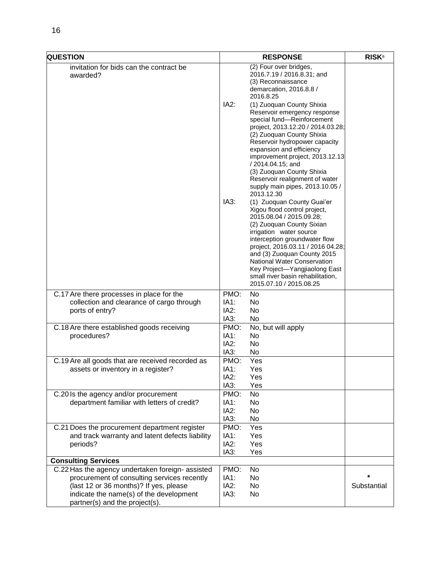| <b>QUESTION</b>                                                                                                                                                                                                        |                              | <b>RESPONSE</b>                                                                                                                                                                                                                                                                                                                                                                                |             |
|------------------------------------------------------------------------------------------------------------------------------------------------------------------------------------------------------------------------|------------------------------|------------------------------------------------------------------------------------------------------------------------------------------------------------------------------------------------------------------------------------------------------------------------------------------------------------------------------------------------------------------------------------------------|-------------|
| invitation for bids can the contract be<br>awarded?                                                                                                                                                                    |                              | (2) Four over bridges,<br>2016.7.19 / 2016.8.31; and<br>(3) Reconnaissance<br>demarcation, 2016.8.8 /<br>2016.8.25                                                                                                                                                                                                                                                                             |             |
|                                                                                                                                                                                                                        | IA2:                         | (1) Zuoquan County Shixia<br>Reservoir emergency response<br>special fund-Reinforcement<br>project, 2013.12.20 / 2014.03.28;<br>(2) Zuoquan County Shixia<br>Reservoir hydropower capacity<br>expansion and efficiency<br>improvement project, 2013.12.13<br>/ 2014.04.15; and<br>(3) Zuoquan County Shixia<br>Reservoir realignment of water<br>supply main pipes, 2013.10.05 /<br>2013.12.30 |             |
|                                                                                                                                                                                                                        | IA3:                         | (1) Zuoquan County Guai'er<br>Xigou flood control project,<br>2015.08.04 / 2015.09.28;<br>(2) Zuoquan County Sixian<br>irrigation water source<br>interception groundwater flow<br>project, 2016.03.11 / 2016 04.28;<br>and (3) Zuoquan County 2015<br>National Water Conservation<br>Key Project-Yangjiaolong East<br>small river basin rehabilitation,<br>2015.07.10 / 2015.08.25            |             |
| C.17 Are there processes in place for the<br>collection and clearance of cargo through<br>ports of entry?                                                                                                              | PMO:<br>IA1:<br>IA2:<br>IA3: | No<br>No<br>No<br><b>No</b>                                                                                                                                                                                                                                                                                                                                                                    |             |
| C.18 Are there established goods receiving<br>procedures?                                                                                                                                                              | PMO:<br>IA1:<br>IA2:<br>IA3: | No, but will apply<br>No<br>No<br>No.                                                                                                                                                                                                                                                                                                                                                          |             |
| C.19 Are all goods that are received recorded as<br>assets or inventory in a register?                                                                                                                                 | PMO:<br>IA1:<br>IA2:<br>IA3: | Yes<br>Yes<br>Yes<br>Yes                                                                                                                                                                                                                                                                                                                                                                       |             |
| C.20 Is the agency and/or procurement<br>department familiar with letters of credit?                                                                                                                                   | PMO:<br>IA1:<br>IA2:<br>IA3: | <b>No</b><br>No<br><b>No</b><br>No                                                                                                                                                                                                                                                                                                                                                             |             |
| C.21 Does the procurement department register<br>and track warranty and latent defects liability<br>periods?                                                                                                           | PMO:<br>IA1:<br>IA2:<br>IA3: | Yes<br>Yes<br>Yes<br>Yes                                                                                                                                                                                                                                                                                                                                                                       |             |
| <b>Consulting Services</b>                                                                                                                                                                                             |                              |                                                                                                                                                                                                                                                                                                                                                                                                |             |
| C.22 Has the agency undertaken foreign- assisted<br>procurement of consulting services recently<br>(last 12 or 36 months)? If yes, please<br>indicate the name(s) of the development<br>partner(s) and the project(s). | PMO:<br>IA1:<br>IA2:<br>IA3: | No<br>No<br>No<br>No                                                                                                                                                                                                                                                                                                                                                                           | Substantial |
|                                                                                                                                                                                                                        |                              |                                                                                                                                                                                                                                                                                                                                                                                                |             |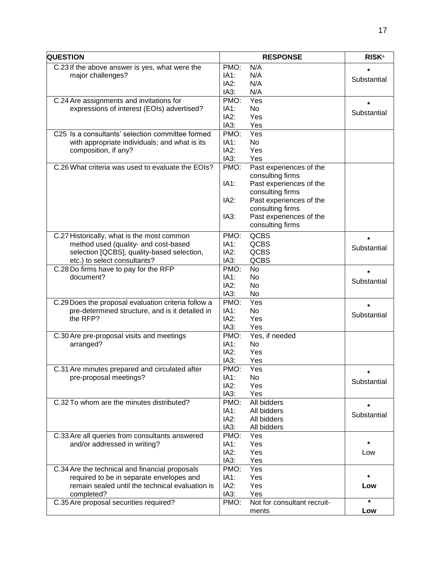| <b>QUESTION</b>                                     |      | <b>RESPONSE</b>             | <b>RISK</b> <sup>a</sup> |
|-----------------------------------------------------|------|-----------------------------|--------------------------|
| C.23 If the above answer is yes, what were the      | PMO: | N/A                         | *                        |
| major challenges?                                   | IA1: | N/A                         |                          |
|                                                     | IA2: | N/A                         | Substantial              |
|                                                     | IA3: | N/A                         |                          |
| C.24 Are assignments and invitations for            | PMO: | Yes                         |                          |
| expressions of interest (EOIs) advertised?          | IA1: | No                          | $\star$                  |
|                                                     | IA2: | Yes                         | Substantial              |
|                                                     | IA3: | Yes                         |                          |
| C25 Is a consultants' selection committee formed    | PMO: | Yes                         |                          |
| with appropriate individuals; and what is its       | IA1: | No                          |                          |
|                                                     | IA2: | Yes                         |                          |
| composition, if any?                                | IA3: | Yes                         |                          |
|                                                     |      |                             |                          |
| C.26 What criteria was used to evaluate the EOIs?   | PMO: | Past experiences of the     |                          |
|                                                     |      | consulting firms            |                          |
|                                                     | IA1: | Past experiences of the     |                          |
|                                                     |      | consulting firms            |                          |
|                                                     | IA2: | Past experiences of the     |                          |
|                                                     |      | consulting firms            |                          |
|                                                     | IA3: | Past experiences of the     |                          |
|                                                     |      | consulting firms            |                          |
| C.27 Historically, what is the most common          | PMO: | <b>QCBS</b>                 | $\star$                  |
| method used (quality- and cost-based                | IA1: | QCBS                        |                          |
| selection [QCBS], quality-based selection,          | IA2: | QCBS                        | Substantial              |
| etc.) to select consultants?                        | IA3: | QCBS                        |                          |
| C.28 Do firms have to pay for the RFP               | PMO: | <b>No</b>                   |                          |
| document?                                           | IA1: | <b>No</b>                   | $\star$                  |
|                                                     | IA2: | No                          | Substantial              |
|                                                     | IA3: | <b>No</b>                   |                          |
| C.29 Does the proposal evaluation criteria follow a | PMO: | Yes                         |                          |
| pre-determined structure, and is it detailed in     | IA1: | <b>No</b>                   | $\star$                  |
| the RFP?                                            | IA2: | Yes                         | Substantial              |
|                                                     | IA3: | Yes                         |                          |
| C.30 Are pre-proposal visits and meetings           | PMO: | Yes, if needed              |                          |
|                                                     | IA1: | No                          |                          |
| arranged?                                           | IA2: | Yes                         |                          |
|                                                     | IA3: | Yes                         |                          |
|                                                     |      |                             |                          |
| C.31 Are minutes prepared and circulated after      | PMO: | Yes                         |                          |
| pre-proposal meetings?                              | IA1: | <b>No</b>                   | Substantial              |
|                                                     | IA2: | Yes                         |                          |
|                                                     | IA3: | Yes                         |                          |
| C.32 To whom are the minutes distributed?           | PMO: | All bidders                 | $\star$                  |
|                                                     | IA1: | All bidders                 | Substantial              |
|                                                     | IA2: | All bidders                 |                          |
|                                                     | IA3: | All bidders                 |                          |
| C.33 Are all queries from consultants answered      | PMO: | Yes                         | $\star$                  |
| and/or addressed in writing?                        | IA1: | Yes                         |                          |
|                                                     | IA2: | Yes                         | Low                      |
|                                                     | IA3: | Yes                         |                          |
| C.34 Are the technical and financial proposals      | PMO: | Yes                         |                          |
| required to be in separate envelopes and            | IA1: | Yes                         | *                        |
| remain sealed until the technical evaluation is     | IA2: | Yes                         | Low                      |
| completed?                                          | IA3: | Yes                         |                          |
| C.35 Are proposal securities required?              | PMO: | Not for consultant recruit- | $\star$                  |
|                                                     |      | ments                       | Low                      |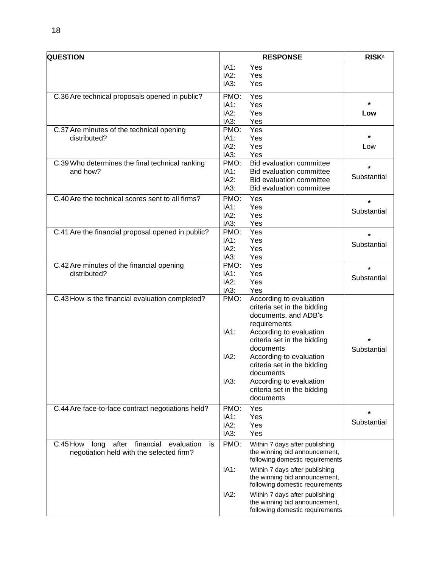| <b>QUESTION</b>                                            |              | <b>RESPONSE</b>                 | <b>RISK</b> <sup>a</sup> |
|------------------------------------------------------------|--------------|---------------------------------|--------------------------|
|                                                            | IA1:         | Yes                             |                          |
|                                                            | IA2:         | Yes                             |                          |
|                                                            | IA3:         | Yes                             |                          |
| C.36 Are technical proposals opened in public?             | PMO:         | Yes                             |                          |
|                                                            | IA1:         | Yes                             | *                        |
|                                                            | IA2:         | Yes                             | Low                      |
|                                                            | IA3:         | Yes                             |                          |
| C.37 Are minutes of the technical opening                  | PMO:         | Yes                             |                          |
| distributed?                                               | IA1:         | Yes                             | $\star$                  |
|                                                            | IA2:         | Yes                             | Low                      |
|                                                            | IA3:         | Yes                             |                          |
| C.39 Who determines the final technical ranking            | PMO:         | <b>Bid evaluation committee</b> | $\star$                  |
| and how?                                                   | IA1:         | Bid evaluation committee        | Substantial              |
|                                                            | IA2:         | Bid evaluation committee        |                          |
|                                                            | IA3:         | <b>Bid evaluation committee</b> |                          |
| C.40 Are the technical scores sent to all firms?           | PMO:         | Yes                             | $\star$                  |
|                                                            | IA1:         | Yes                             | Substantial              |
|                                                            | IA2:         | Yes                             |                          |
|                                                            | IA3:         | Yes                             |                          |
| C.41 Are the financial proposal opened in public?          | PMO:         | Yes                             | *                        |
|                                                            | IA1:         | Yes                             | Substantial              |
|                                                            | IA2:         | Yes                             |                          |
|                                                            | IA3:         | Yes                             |                          |
| C.42 Are minutes of the financial opening                  | PMO:<br>IA1: | Yes                             | $\star$                  |
| distributed?                                               | IA2:         | Yes<br>Yes                      | Substantial              |
|                                                            | IA3:         | Yes                             |                          |
| C.43 How is the financial evaluation completed?            | PMO:         | According to evaluation         |                          |
|                                                            |              | criteria set in the bidding     |                          |
|                                                            |              | documents, and ADB's            |                          |
|                                                            |              | requirements                    |                          |
|                                                            | IA1:         | According to evaluation         |                          |
|                                                            |              | criteria set in the bidding     | $\star$                  |
|                                                            |              | documents                       | Substantial              |
|                                                            | IA2:         | According to evaluation         |                          |
|                                                            |              | criteria set in the bidding     |                          |
|                                                            |              | documents                       |                          |
|                                                            | IA3:         | According to evaluation         |                          |
|                                                            |              | criteria set in the bidding     |                          |
|                                                            |              | documents                       |                          |
| C.44 Are face-to-face contract negotiations held?          | PMO:         | Yes                             | $\star$                  |
|                                                            | IA1:         | Yes                             |                          |
|                                                            | IA2:         | Yes                             | Substantial              |
|                                                            | IA3:         | Yes                             |                          |
| C.45 How<br>after<br>financial<br>evaluation<br>long<br>is | PMO:         | Within 7 days after publishing  |                          |
| negotiation held with the selected firm?                   |              | the winning bid announcement,   |                          |
|                                                            |              | following domestic requirements |                          |
|                                                            | IA1:         | Within 7 days after publishing  |                          |
|                                                            |              | the winning bid announcement,   |                          |
|                                                            |              | following domestic requirements |                          |
|                                                            | IA2:         | Within 7 days after publishing  |                          |
|                                                            |              | the winning bid announcement,   |                          |
|                                                            |              | following domestic requirements |                          |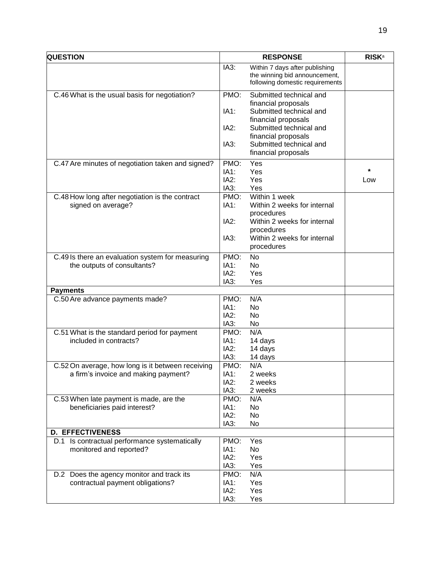| <b>QUESTION</b>                                                                 |              | <b>RESPONSE</b>                                | <b>RISK</b> <sup>a</sup> |
|---------------------------------------------------------------------------------|--------------|------------------------------------------------|--------------------------|
|                                                                                 | IA3:         | Within 7 days after publishing                 |                          |
|                                                                                 |              | the winning bid announcement,                  |                          |
|                                                                                 |              | following domestic requirements                |                          |
| C.46 What is the usual basis for negotiation?                                   | PMO:         | Submitted technical and                        |                          |
|                                                                                 |              | financial proposals                            |                          |
|                                                                                 | IA1:         | Submitted technical and                        |                          |
|                                                                                 |              | financial proposals                            |                          |
|                                                                                 | IA2:         | Submitted technical and                        |                          |
|                                                                                 |              | financial proposals                            |                          |
|                                                                                 | IA3:         | Submitted technical and<br>financial proposals |                          |
|                                                                                 |              |                                                |                          |
| C.47 Are minutes of negotiation taken and signed?                               | PMO:         | Yes                                            | $^\star$                 |
|                                                                                 | IA1:         | Yes                                            |                          |
|                                                                                 | IA2:         | Yes                                            | Low                      |
|                                                                                 | IA3:         | Yes                                            |                          |
| C.48 How long after negotiation is the contract                                 | PMO:         | Within 1 week                                  |                          |
| signed on average?                                                              | IA1:         | Within 2 weeks for internal                    |                          |
|                                                                                 | IA2:         | procedures<br>Within 2 weeks for internal      |                          |
|                                                                                 |              | procedures                                     |                          |
|                                                                                 | IA3:         | Within 2 weeks for internal                    |                          |
|                                                                                 |              | procedures                                     |                          |
|                                                                                 | PMO:         | <b>No</b>                                      |                          |
| C.49 Is there an evaluation system for measuring<br>the outputs of consultants? | IA1:         | No.                                            |                          |
|                                                                                 | IA2:         | Yes                                            |                          |
|                                                                                 | IA3:         | Yes                                            |                          |
| <b>Payments</b>                                                                 |              |                                                |                          |
| C.50 Are advance payments made?                                                 | PMO:         | N/A                                            |                          |
|                                                                                 | IA1:         | <b>No</b>                                      |                          |
|                                                                                 | IA2:         | <b>No</b>                                      |                          |
|                                                                                 | IA3:         | No                                             |                          |
| C.51 What is the standard period for payment                                    | PMO:         | N/A                                            |                          |
| included in contracts?                                                          | IA1:         | 14 days                                        |                          |
|                                                                                 | IA2:         | 14 days                                        |                          |
|                                                                                 | IA3:         | 14 days                                        |                          |
| C.52 On average, how long is it between receiving                               | PMO:         | N/A                                            |                          |
| a firm's invoice and making payment?                                            | IA1:         | 2 weeks                                        |                          |
|                                                                                 | IA2:<br>IA3: | 2 weeks                                        |                          |
| C.53 When late payment is made, are the                                         | PMO:         | 2 weeks<br>N/A                                 |                          |
| beneficiaries paid interest?                                                    | IA1:         | No                                             |                          |
|                                                                                 | IA2:         | No                                             |                          |
|                                                                                 | IA3:         | No                                             |                          |
| <b>D. EFFECTIVENESS</b>                                                         |              |                                                |                          |
| D.1 Is contractual performance systematically                                   | PMO:         | Yes                                            |                          |
| monitored and reported?                                                         | IA1:         | No                                             |                          |
|                                                                                 | IA2:         | Yes                                            |                          |
|                                                                                 | IA3:         | Yes                                            |                          |
| D.2 Does the agency monitor and track its                                       | PMO:         | N/A                                            |                          |
| contractual payment obligations?                                                | IA1:         | Yes                                            |                          |
|                                                                                 | IA2:         | Yes                                            |                          |
|                                                                                 | IA3:         | Yes                                            |                          |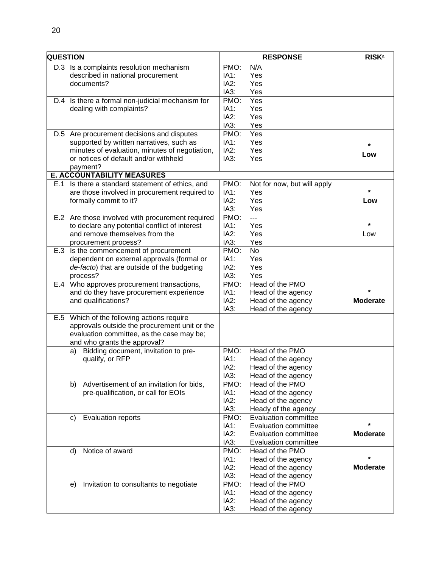| <b>QUESTION</b> |                                                  |      | <b>RESPONSE</b>             | <b>RISK</b> <sup>a</sup> |
|-----------------|--------------------------------------------------|------|-----------------------------|--------------------------|
|                 | D.3 Is a complaints resolution mechanism         | PMO: | N/A                         |                          |
|                 | described in national procurement                | IA1: | Yes                         |                          |
|                 | documents?                                       | IA2: | Yes                         |                          |
|                 |                                                  | IA3: | Yes                         |                          |
|                 | D.4 Is there a formal non-judicial mechanism for | PMO: | Yes                         |                          |
|                 | dealing with complaints?                         | IA1: | Yes                         |                          |
|                 |                                                  | IA2: | Yes                         |                          |
|                 |                                                  | IA3: | Yes                         |                          |
|                 | D.5 Are procurement decisions and disputes       | PMO: | Yes                         |                          |
|                 | supported by written narratives, such as         | IA1: | Yes                         |                          |
|                 | minutes of evaluation, minutes of negotiation,   | IA2: | Yes                         |                          |
|                 | or notices of default and/or withheld            | IA3: | Yes                         | Low                      |
|                 | payment?                                         |      |                             |                          |
|                 | <b>E. ACCOUNTABILITY MEASURES</b>                |      |                             |                          |
|                 | E.1 Is there a standard statement of ethics, and | PMO: | Not for now, but will apply |                          |
|                 | are those involved in procurement required to    | IA1: | Yes                         |                          |
|                 | formally commit to it?                           | IA2: | Yes                         | Low                      |
|                 |                                                  | IA3: | Yes                         |                          |
|                 | E.2 Are those involved with procurement required | PMO: | ---                         |                          |
|                 | to declare any potential conflict of interest    | IA1: | Yes                         | ¥                        |
|                 | and remove themselves from the                   | IA2: | Yes                         | Low                      |
|                 | procurement process?                             | IA3: | Yes                         |                          |
|                 | E.3 Is the commencement of procurement           | PMO: | <b>No</b>                   |                          |
|                 | dependent on external approvals (formal or       | IA1: | Yes                         |                          |
|                 | de-facto) that are outside of the budgeting      | IA2: | Yes                         |                          |
|                 | process?                                         | IA3: | Yes                         |                          |
|                 | E.4 Who approves procurement transactions,       | PMO: | Head of the PMO             |                          |
|                 | and do they have procurement experience          | IA1: | Head of the agency          | *                        |
|                 | and qualifications?                              | IA2: | Head of the agency          | <b>Moderate</b>          |
|                 |                                                  | IA3: | Head of the agency          |                          |
|                 | E.5 Which of the following actions require       |      |                             |                          |
|                 | approvals outside the procurement unit or the    |      |                             |                          |
|                 | evaluation committee, as the case may be;        |      |                             |                          |
|                 | and who grants the approval?                     |      |                             |                          |
|                 | Bidding document, invitation to pre-<br>a)       | PMO: | Head of the PMO             |                          |
|                 | qualify, or RFP                                  | IA1: | Head of the agency          |                          |
|                 |                                                  | IA2: | Head of the agency          |                          |
|                 |                                                  | IA3: | Head of the agency          |                          |
|                 | Advertisement of an invitation for bids,<br>b)   | PMO: | Head of the PMO             |                          |
|                 | pre-qualification, or call for EOIs              | IA1: | Head of the agency          |                          |
|                 |                                                  | IA2: | Head of the agency          |                          |
|                 |                                                  | IA3: | Heady of the agency         |                          |
|                 | <b>Evaluation reports</b><br>C)                  | PMO: | <b>Evaluation committee</b> |                          |
|                 |                                                  | IA1: | <b>Evaluation committee</b> | $\star$                  |
|                 |                                                  | IA2: | Evaluation committee        | <b>Moderate</b>          |
|                 |                                                  | IA3: | <b>Evaluation committee</b> |                          |
|                 | Notice of award<br>$\mathsf{d}$                  | PMO: | Head of the PMO             |                          |
|                 |                                                  | IA1: | Head of the agency          |                          |
|                 |                                                  | IA2: | Head of the agency          | <b>Moderate</b>          |
|                 |                                                  | IA3: | Head of the agency          |                          |
|                 | Invitation to consultants to negotiate<br>e)     | PMO: | Head of the PMO             |                          |
|                 |                                                  | IA1: | Head of the agency          |                          |
|                 |                                                  | IA2: | Head of the agency          |                          |
|                 |                                                  | IA3: | Head of the agency          |                          |